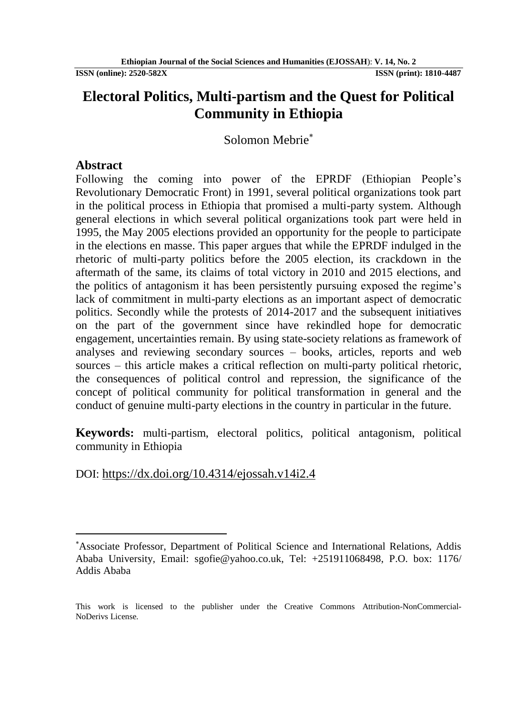#### **ISSN (online): 2520-582X ISSN (print): 1810-4487**

# **Electoral Politics, Multi-partism and the Quest for Political Community in Ethiopia**

Solomon Mebrie

### **Abstract**

 $\overline{a}$ 

Following the coming into power of the EPRDF (Ethiopian People's Revolutionary Democratic Front) in 1991, several political organizations took part in the political process in Ethiopia that promised a multi-party system. Although general elections in which several political organizations took part were held in 1995, the May 2005 elections provided an opportunity for the people to participate in the elections en masse. This paper argues that while the EPRDF indulged in the rhetoric of multi-party politics before the 2005 election, its crackdown in the aftermath of the same, its claims of total victory in 2010 and 2015 elections, and the politics of antagonism it has been persistently pursuing exposed the regime's lack of commitment in multi-party elections as an important aspect of democratic politics. Secondly while the protests of 2014-2017 and the subsequent initiatives on the part of the government since have rekindled hope for democratic engagement, uncertainties remain. By using state-society relations as framework of analyses and reviewing secondary sources – books, articles, reports and web sources – this article makes a critical reflection on multi-party political rhetoric, the consequences of political control and repression, the significance of the concept of political community for political transformation in general and the conduct of genuine multi-party elections in the country in particular in the future.

**Keywords:** multi-partism, electoral politics, political antagonism, political community in Ethiopia

DOI: https://dx.doi.org/10.4314/ejossah.v14i2.4

Associate Professor, Department of Political Science and International Relations, Addis Ababa University, Email: [sgofie@yahoo.co.uk,](mailto:sgofie@yahoo.co.uk) Tel: +251911068498, P.O. box: 1176/ Addis Ababa

This work is licensed to the publisher under the Creative Commons Attribution-NonCommercial-NoDerivs License.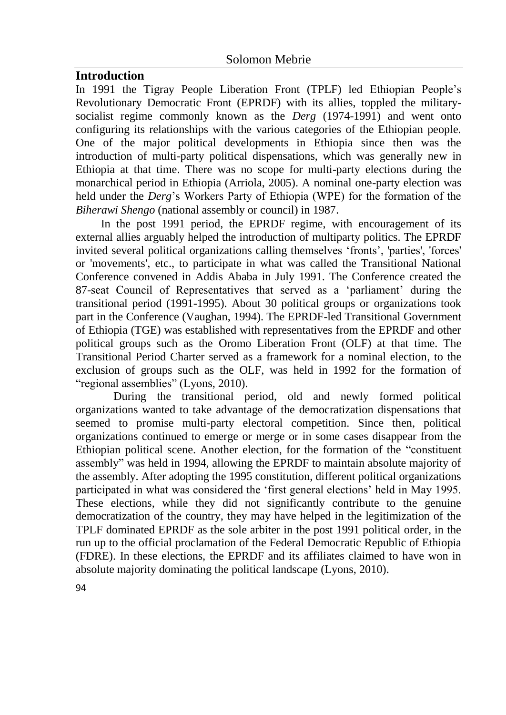#### **Introduction**

In 1991 the Tigray People Liberation Front (TPLF) led Ethiopian People's Revolutionary Democratic Front (EPRDF) with its allies, toppled the militarysocialist regime commonly known as the *Derg* (1974-1991) and went onto configuring its relationships with the various categories of the Ethiopian people. One of the major political developments in Ethiopia since then was the introduction of multi-party political dispensations, which was generally new in Ethiopia at that time. There was no scope for multi-party elections during the monarchical period in Ethiopia (Arriola, 2005). A nominal one-party election was held under the *Derg*'s Workers Party of Ethiopia (WPE) for the formation of the *Biherawi Shengo* (national assembly or council) in 1987.

In the post 1991 period, the EPRDF regime, with encouragement of its external allies arguably helped the introduction of multiparty politics. The EPRDF invited several political organizations calling themselves ‗fronts', 'parties', 'forces' or 'movements', etc., to participate in what was called the Transitional National Conference convened in Addis Ababa in July 1991. The Conference created the 87-seat Council of Representatives that served as a 'parliament' during the transitional period (1991-1995). About 30 political groups or organizations took part in the Conference (Vaughan, 1994). The EPRDF-led Transitional Government of Ethiopia (TGE) was established with representatives from the EPRDF and other political groups such as the Oromo Liberation Front (OLF) at that time. The Transitional Period Charter served as a framework for a nominal election, to the exclusion of groups such as the OLF, was held in 1992 for the formation of "regional assemblies" (Lyons, 2010).

During the transitional period, old and newly formed political organizations wanted to take advantage of the democratization dispensations that seemed to promise multi-party electoral competition. Since then, political organizations continued to emerge or merge or in some cases disappear from the Ethiopian political scene. Another election, for the formation of the "constituent" assembly" was held in 1994, allowing the EPRDF to maintain absolute majority of the assembly. After adopting the 1995 constitution, different political organizations participated in what was considered the 'first general elections' held in May 1995. These elections, while they did not significantly contribute to the genuine democratization of the country, they may have helped in the legitimization of the TPLF dominated EPRDF as the sole arbiter in the post 1991 political order, in the run up to the official proclamation of the Federal Democratic Republic of Ethiopia (FDRE). In these elections, the EPRDF and its affiliates claimed to have won in absolute majority dominating the political landscape (Lyons, 2010).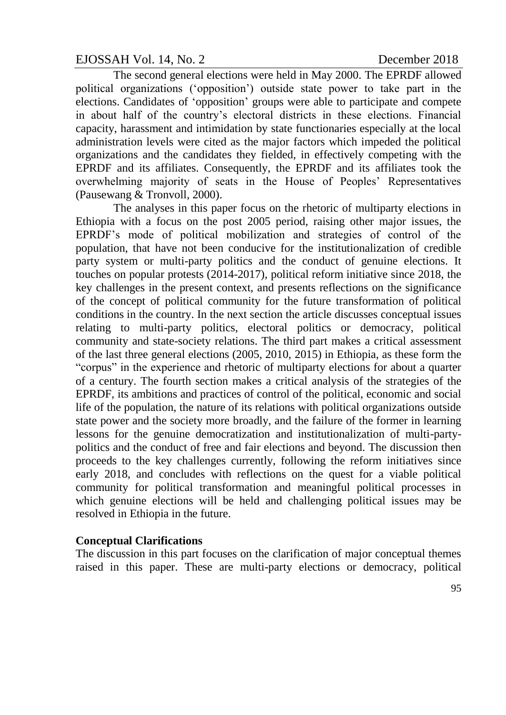The second general elections were held in May 2000. The EPRDF allowed political organizations (‗opposition') outside state power to take part in the elections. Candidates of 'opposition' groups were able to participate and compete in about half of the country's electoral districts in these elections. Financial capacity, harassment and intimidation by state functionaries especially at the local administration levels were cited as the major factors which impeded the political organizations and the candidates they fielded, in effectively competing with the EPRDF and its affiliates. Consequently, the EPRDF and its affiliates took the overwhelming majority of seats in the House of Peoples' Representatives (Pausewang & Tronvoll, 2000).

The analyses in this paper focus on the rhetoric of multiparty elections in Ethiopia with a focus on the post 2005 period, raising other major issues, the EPRDF's mode of political mobilization and strategies of control of the population, that have not been conducive for the institutionalization of credible party system or multi-party politics and the conduct of genuine elections. It touches on popular protests (2014-2017), political reform initiative since 2018, the key challenges in the present context, and presents reflections on the significance of the concept of political community for the future transformation of political conditions in the country. In the next section the article discusses conceptual issues relating to multi-party politics, electoral politics or democracy, political community and state-society relations. The third part makes a critical assessment of the last three general elections (2005, 2010, 2015) in Ethiopia, as these form the ―corpus‖ in the experience and rhetoric of multiparty elections for about a quarter of a century. The fourth section makes a critical analysis of the strategies of the EPRDF, its ambitions and practices of control of the political, economic and social life of the population, the nature of its relations with political organizations outside state power and the society more broadly, and the failure of the former in learning lessons for the genuine democratization and institutionalization of multi-partypolitics and the conduct of free and fair elections and beyond. The discussion then proceeds to the key challenges currently, following the reform initiatives since early 2018, and concludes with reflections on the quest for a viable political community for political transformation and meaningful political processes in which genuine elections will be held and challenging political issues may be resolved in Ethiopia in the future.

#### **Conceptual Clarifications**

The discussion in this part focuses on the clarification of major conceptual themes raised in this paper. These are multi-party elections or democracy, political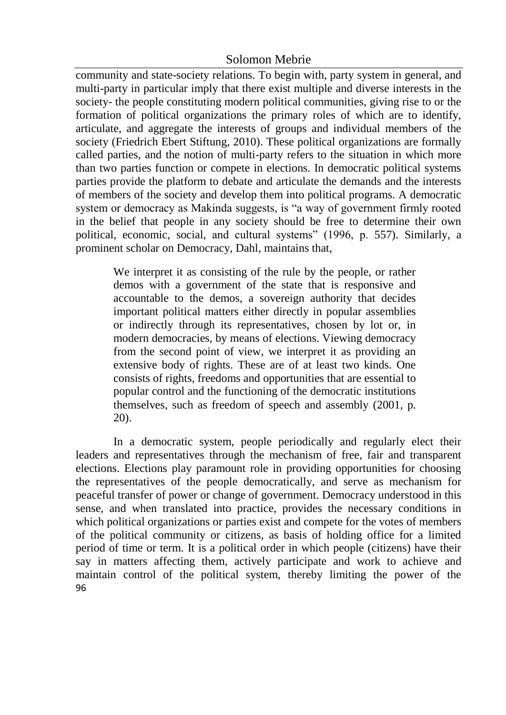community and state-society relations. To begin with, party system in general, and multi-party in particular imply that there exist multiple and diverse interests in the society- the people constituting modern political communities, giving rise to or the formation of political organizations the primary roles of which are to identify, articulate, and aggregate the interests of groups and individual members of the society (Friedrich Ebert Stiftung, 2010). These political organizations are formally called parties, and the notion of multi-party refers to the situation in which more than two parties function or compete in elections. In democratic political systems parties provide the platform to debate and articulate the demands and the interests of members of the society and develop them into political programs. A democratic system or democracy as Makinda suggests, is "a way of government firmly rooted in the belief that people in any society should be free to determine their own political, economic, social, and cultural systems" (1996, p. 557). Similarly, a prominent scholar on Democracy, Dahl, maintains that,

We interpret it as consisting of the rule by the people, or rather demos with a government of the state that is responsive and accountable to the demos, a sovereign authority that decides important political matters either directly in popular assemblies or indirectly through its representatives, chosen by lot or, in modern democracies, by means of elections. Viewing democracy from the second point of view, we interpret it as providing an extensive body of rights. These are of at least two kinds. One consists of rights, freedoms and opportunities that are essential to popular control and the functioning of the democratic institutions themselves, such as freedom of speech and assembly (2001, p. 20).

96 In a democratic system, people periodically and regularly elect their leaders and representatives through the mechanism of free, fair and transparent elections. Elections play paramount role in providing opportunities for choosing the representatives of the people democratically, and serve as mechanism for peaceful transfer of power or change of government. Democracy understood in this sense, and when translated into practice, provides the necessary conditions in which political organizations or parties exist and compete for the votes of members of the political community or citizens, as basis of holding office for a limited period of time or term. It is a political order in which people (citizens) have their say in matters affecting them, actively participate and work to achieve and maintain control of the political system, thereby limiting the power of the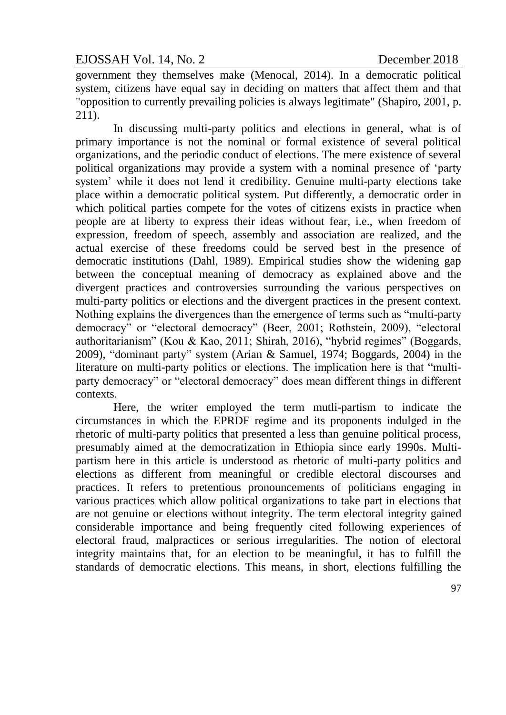government they themselves make (Menocal, 2014). In a democratic political system, citizens have equal say in deciding on matters that affect them and that "opposition to currently prevailing policies is always legitimate" (Shapiro, 2001, p. 211).

In discussing multi-party politics and elections in general, what is of primary importance is not the nominal or formal existence of several political organizations, and the periodic conduct of elections. The mere existence of several political organizations may provide a system with a nominal presence of 'party system' while it does not lend it credibility. Genuine multi-party elections take place within a democratic political system. Put differently, a democratic order in which political parties compete for the votes of citizens exists in practice when people are at liberty to express their ideas without fear, i.e., when freedom of expression, freedom of speech, assembly and association are realized, and the actual exercise of these freedoms could be served best in the presence of democratic institutions (Dahl, 1989). Empirical studies show the widening gap between the conceptual meaning of democracy as explained above and the divergent practices and controversies surrounding the various perspectives on multi-party politics or elections and the divergent practices in the present context. Nothing explains the divergences than the emergence of terms such as "multi-party" democracy" or "electoral democracy" (Beer, 2001; Rothstein, 2009), "electoral authoritarianism" (Kou & Kao, 2011; Shirah, 2016), "hybrid regimes" (Boggards, 2009), "dominant party" system (Arian & Samuel, 1974; Boggards, 2004) in the literature on multi-party politics or elections. The implication here is that "multiparty democracy" or "electoral democracy" does mean different things in different contexts.

Here, the writer employed the term mutli-partism to indicate the circumstances in which the EPRDF regime and its proponents indulged in the rhetoric of multi-party politics that presented a less than genuine political process, presumably aimed at the democratization in Ethiopia since early 1990s. Multipartism here in this article is understood as rhetoric of multi-party politics and elections as different from meaningful or credible electoral discourses and practices. It refers to pretentious pronouncements of politicians engaging in various practices which allow political organizations to take part in elections that are not genuine or elections without integrity. The term electoral integrity gained considerable importance and being frequently cited following experiences of electoral fraud, malpractices or serious irregularities. The notion of electoral integrity maintains that, for an election to be meaningful, it has to fulfill the standards of democratic elections. This means, in short, elections fulfilling the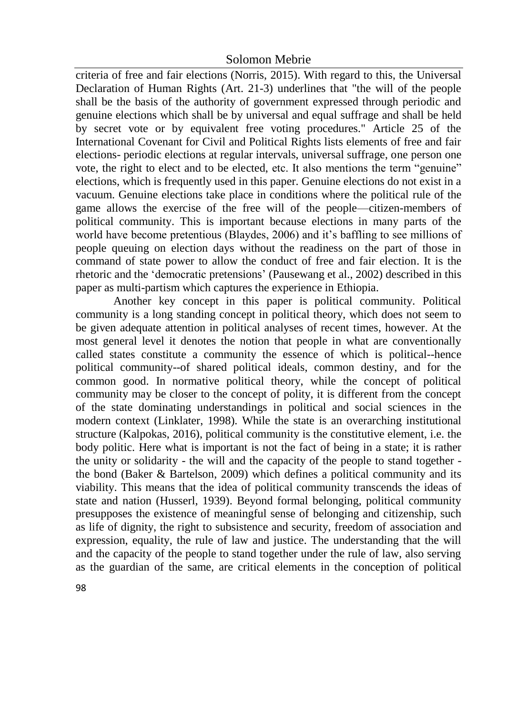criteria of free and fair elections (Norris, 2015). With regard to this, the Universal Declaration of Human Rights (Art. 21-3) underlines that "the will of the people shall be the basis of the authority of government expressed through periodic and genuine elections which shall be by universal and equal suffrage and shall be held by secret vote or by equivalent free voting procedures." Article 25 of the International Covenant for Civil and Political Rights lists elements of free and fair elections- periodic elections at regular intervals, universal suffrage, one person one vote, the right to elect and to be elected, etc. It also mentions the term "genuine" elections, which is frequently used in this paper. Genuine elections do not exist in a vacuum. Genuine elections take place in conditions where the political rule of the game allows the exercise of the free will of the people—citizen-members of political community. This is important because elections in many parts of the world have become pretentious (Blaydes, 2006) and it's baffling to see millions of people queuing on election days without the readiness on the part of those in command of state power to allow the conduct of free and fair election. It is the rhetoric and the 'democratic pretensions' (Pausewang et al., 2002) described in this paper as multi-partism which captures the experience in Ethiopia.

Another key concept in this paper is political community. Political community is a long standing concept in political theory, which does not seem to be given adequate attention in political analyses of recent times, however. At the most general level it denotes the notion that people in what are conventionally called states constitute a community the essence of which is political--hence political community--of shared political ideals, common destiny, and for the common good. In normative political theory, while the concept of political community may be closer to the concept of polity, it is different from the concept of the state dominating understandings in political and social sciences in the modern context (Linklater, 1998). While the state is an overarching institutional structure (Kalpokas, 2016), political community is the constitutive element, i.e. the body politic. Here what is important is not the fact of being in a state; it is rather the unity or solidarity - the will and the capacity of the people to stand together the bond (Baker & Bartelson, 2009) which defines a political community and its viability. This means that the idea of political community transcends the ideas of state and nation (Husserl, 1939). Beyond formal belonging, political community presupposes the existence of meaningful sense of belonging and citizenship, such as life of dignity, the right to subsistence and security, freedom of association and expression, equality, the rule of law and justice. The understanding that the will and the capacity of the people to stand together under the rule of law, also serving as the guardian of the same, are critical elements in the conception of political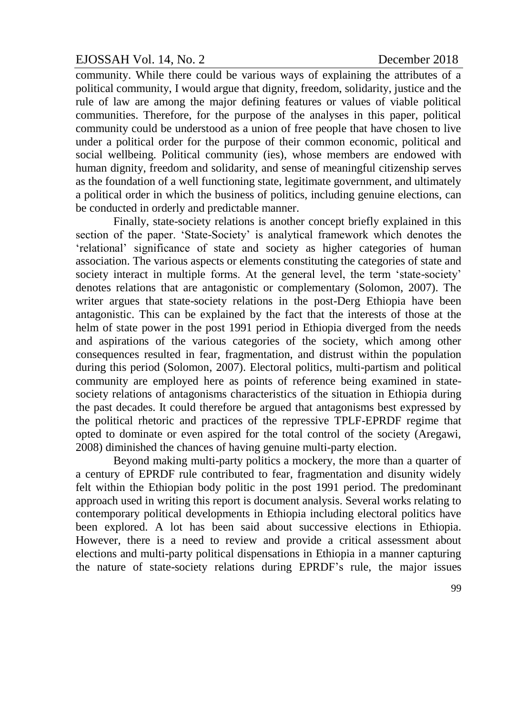community. While there could be various ways of explaining the attributes of a political community, I would argue that dignity, freedom, solidarity, justice and the rule of law are among the major defining features or values of viable political communities. Therefore, for the purpose of the analyses in this paper, political community could be understood as a union of free people that have chosen to live under a political order for the purpose of their common economic, political and social wellbeing. Political community (ies), whose members are endowed with human dignity, freedom and solidarity, and sense of meaningful citizenship serves as the foundation of a well functioning state, legitimate government, and ultimately a political order in which the business of politics, including genuine elections, can be conducted in orderly and predictable manner.

Finally, state-society relations is another concept briefly explained in this section of the paper. 'State-Society' is analytical framework which denotes the ‗relational' significance of state and society as higher categories of human association. The various aspects or elements constituting the categories of state and society interact in multiple forms. At the general level, the term 'state-society' denotes relations that are antagonistic or complementary (Solomon, 2007). The writer argues that state-society relations in the post-Derg Ethiopia have been antagonistic. This can be explained by the fact that the interests of those at the helm of state power in the post 1991 period in Ethiopia diverged from the needs and aspirations of the various categories of the society, which among other consequences resulted in fear, fragmentation, and distrust within the population during this period (Solomon, 2007). Electoral politics, multi-partism and political community are employed here as points of reference being examined in statesociety relations of antagonisms characteristics of the situation in Ethiopia during the past decades. It could therefore be argued that antagonisms best expressed by the political rhetoric and practices of the repressive TPLF-EPRDF regime that opted to dominate or even aspired for the total control of the society (Aregawi, 2008) diminished the chances of having genuine multi-party election.

Beyond making multi-party politics a mockery, the more than a quarter of a century of EPRDF rule contributed to fear, fragmentation and disunity widely felt within the Ethiopian body politic in the post 1991 period. The predominant approach used in writing this report is document analysis. Several works relating to contemporary political developments in Ethiopia including electoral politics have been explored. A lot has been said about successive elections in Ethiopia. However, there is a need to review and provide a critical assessment about elections and multi-party political dispensations in Ethiopia in a manner capturing the nature of state-society relations during EPRDF's rule, the major issues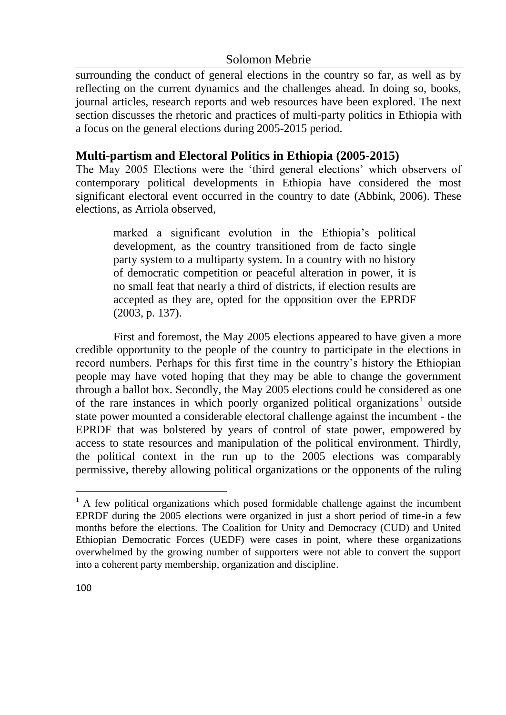surrounding the conduct of general elections in the country so far, as well as by reflecting on the current dynamics and the challenges ahead. In doing so, books, journal articles, research reports and web resources have been explored. The next section discusses the rhetoric and practices of multi-party politics in Ethiopia with a focus on the general elections during 2005-2015 period.

### **Multi-partism and Electoral Politics in Ethiopia (2005-2015)**

The May 2005 Elections were the 'third general elections' which observers of contemporary political developments in Ethiopia have considered the most significant electoral event occurred in the country to date (Abbink, 2006). These elections, as Arriola observed,

marked a significant evolution in the Ethiopia's political development, as the country transitioned from de facto single party system to a multiparty system. In a country with no history of democratic competition or peaceful alteration in power, it is no small feat that nearly a third of districts, if election results are accepted as they are, opted for the opposition over the EPRDF (2003, p. 137).

First and foremost, the May 2005 elections appeared to have given a more credible opportunity to the people of the country to participate in the elections in record numbers. Perhaps for this first time in the country's history the Ethiopian people may have voted hoping that they may be able to change the government through a ballot box. Secondly, the May 2005 elections could be considered as one of the rare instances in which poorly organized political organizations<sup>1</sup> outside state power mounted a considerable electoral challenge against the incumbent - the EPRDF that was bolstered by years of control of state power, empowered by access to state resources and manipulation of the political environment. Thirdly, the political context in the run up to the 2005 elections was comparably permissive, thereby allowing political organizations or the opponents of the ruling

 $\overline{a}$ 

 $<sup>1</sup>$  A few political organizations which posed formidable challenge against the incumbent</sup> EPRDF during the 2005 elections were organized in just a short period of time-in a few months before the elections. The Coalition for Unity and Democracy (CUD) and United Ethiopian Democratic Forces (UEDF) were cases in point, where these organizations overwhelmed by the growing number of supporters were not able to convert the support into a coherent party membership, organization and discipline.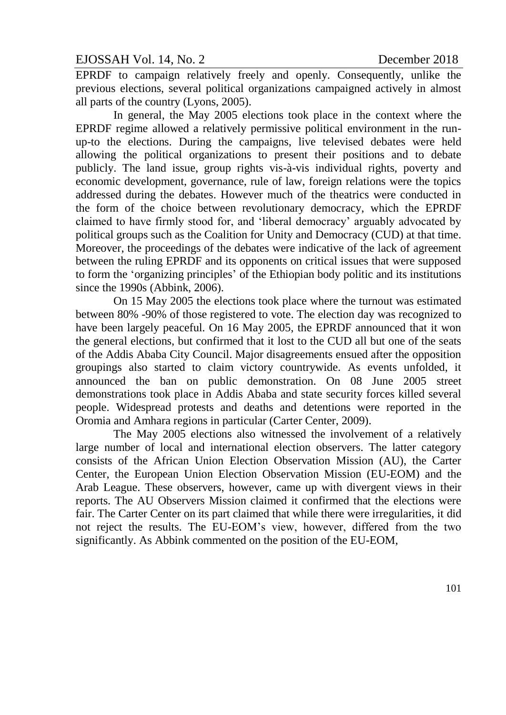EPRDF to campaign relatively freely and openly. Consequently, unlike the previous elections, several political organizations campaigned actively in almost all parts of the country (Lyons, 2005).

In general, the May 2005 elections took place in the context where the EPRDF regime allowed a relatively permissive political environment in the runup-to the elections. During the campaigns, live televised debates were held allowing the political organizations to present their positions and to debate publicly. The land issue, group rights vis-à-vis individual rights, poverty and economic development, governance, rule of law, foreign relations were the topics addressed during the debates. However much of the theatrics were conducted in the form of the choice between revolutionary democracy, which the EPRDF claimed to have firmly stood for, and 'liberal democracy' arguably advocated by political groups such as the Coalition for Unity and Democracy (CUD) at that time. Moreover, the proceedings of the debates were indicative of the lack of agreement between the ruling EPRDF and its opponents on critical issues that were supposed to form the ‗organizing principles' of the Ethiopian body politic and its institutions since the 1990s (Abbink, 2006).

On 15 May 2005 the elections took place where the turnout was estimated between 80% -90% of those registered to vote. The election day was recognized to have been largely peaceful. On 16 May 2005, the EPRDF announced that it won the general elections, but confirmed that it lost to the CUD all but one of the seats of the Addis Ababa City Council. Major disagreements ensued after the opposition groupings also started to claim victory countrywide. As events unfolded, it announced the ban on public demonstration. On 08 June 2005 street demonstrations took place in Addis Ababa and state security forces killed several people. Widespread protests and deaths and detentions were reported in the Oromia and Amhara regions in particular (Carter Center, 2009).

The May 2005 elections also witnessed the involvement of a relatively large number of local and international election observers. The latter category consists of the African Union Election Observation Mission (AU), the Carter Center, the European Union Election Observation Mission (EU-EOM) and the Arab League. These observers, however, came up with divergent views in their reports. The AU Observers Mission claimed it confirmed that the elections were fair. The Carter Center on its part claimed that while there were irregularities, it did not reject the results. The EU-EOM's view, however, differed from the two significantly. As Abbink commented on the position of the EU-EOM,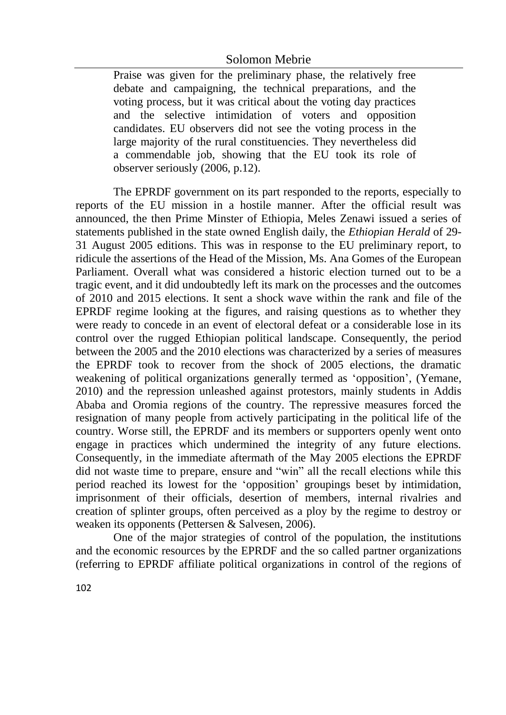Praise was given for the preliminary phase, the relatively free debate and campaigning, the technical preparations, and the voting process, but it was critical about the voting day practices and the selective intimidation of voters and opposition candidates. EU observers did not see the voting process in the large majority of the rural constituencies. They nevertheless did a commendable job, showing that the EU took its role of observer seriously (2006, p.12).

The EPRDF government on its part responded to the reports, especially to reports of the EU mission in a hostile manner. After the official result was announced, the then Prime Minster of Ethiopia, Meles Zenawi issued a series of statements published in the state owned English daily, the *Ethiopian Herald* of 29- 31 August 2005 editions. This was in response to the EU preliminary report, to ridicule the assertions of the Head of the Mission, Ms. Ana Gomes of the European Parliament. Overall what was considered a historic election turned out to be a tragic event, and it did undoubtedly left its mark on the processes and the outcomes of 2010 and 2015 elections. It sent a shock wave within the rank and file of the EPRDF regime looking at the figures, and raising questions as to whether they were ready to concede in an event of electoral defeat or a considerable lose in its control over the rugged Ethiopian political landscape. Consequently, the period between the 2005 and the 2010 elections was characterized by a series of measures the EPRDF took to recover from the shock of 2005 elections, the dramatic weakening of political organizations generally termed as 'opposition', (Yemane, 2010) and the repression unleashed against protestors, mainly students in Addis Ababa and Oromia regions of the country. The repressive measures forced the resignation of many people from actively participating in the political life of the country. Worse still, the EPRDF and its members or supporters openly went onto engage in practices which undermined the integrity of any future elections. Consequently, in the immediate aftermath of the May 2005 elections the EPRDF did not waste time to prepare, ensure and "win" all the recall elections while this period reached its lowest for the 'opposition' groupings beset by intimidation, imprisonment of their officials, desertion of members, internal rivalries and creation of splinter groups, often perceived as a ploy by the regime to destroy or weaken its opponents (Pettersen & Salvesen, 2006).

One of the major strategies of control of the population, the institutions and the economic resources by the EPRDF and the so called partner organizations (referring to EPRDF affiliate political organizations in control of the regions of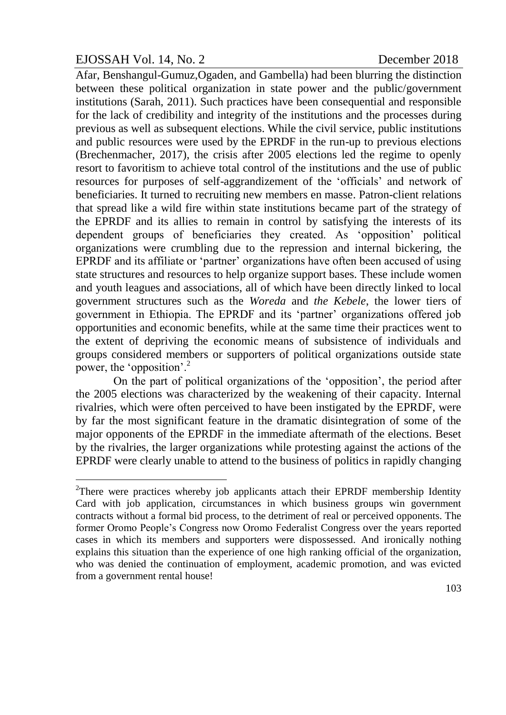$\overline{a}$ 

Afar, Benshangul-Gumuz,Ogaden, and Gambella) had been blurring the distinction between these political organization in state power and the public/government institutions (Sarah, 2011). Such practices have been consequential and responsible for the lack of credibility and integrity of the institutions and the processes during previous as well as subsequent elections. While the civil service, public institutions and public resources were used by the EPRDF in the run-up to previous elections [\(Brechenmacher,](https://carnegieendowment.org/experts/1268) 2017), the crisis after 2005 elections led the regime to openly resort to favoritism to achieve total control of the institutions and the use of public resources for purposes of self-aggrandizement of the 'officials' and network of beneficiaries. It turned to recruiting new members en masse. Patron-client relations that spread like a wild fire within state institutions became part of the strategy of the EPRDF and its allies to remain in control by satisfying the interests of its dependent groups of beneficiaries they created. As 'opposition' political organizations were crumbling due to the repression and internal bickering, the EPRDF and its affiliate or 'partner' organizations have often been accused of using state structures and resources to help organize support bases. These include women and youth leagues and associations, all of which have been directly linked to local government structures such as the *Woreda* and *the Kebele*, the lower tiers of government in Ethiopia. The EPRDF and its 'partner' organizations offered job opportunities and economic benefits, while at the same time their practices went to the extent of depriving the economic means of subsistence of individuals and groups considered members or supporters of political organizations outside state power, the 'opposition'. $2$ 

On the part of political organizations of the ‗opposition', the period after the 2005 elections was characterized by the weakening of their capacity. Internal rivalries, which were often perceived to have been instigated by the EPRDF, were by far the most significant feature in the dramatic disintegration of some of the major opponents of the EPRDF in the immediate aftermath of the elections. Beset by the rivalries, the larger organizations while protesting against the actions of the EPRDF were clearly unable to attend to the business of politics in rapidly changing

<sup>&</sup>lt;sup>2</sup>There were practices whereby job applicants attach their EPRDF membership Identity Card with job application, circumstances in which business groups win government contracts without a formal bid process, to the detriment of real or perceived opponents. The former Oromo People's Congress now Oromo Federalist Congress over the years reported cases in which its members and supporters were dispossessed. And ironically nothing explains this situation than the experience of one high ranking official of the organization, who was denied the continuation of employment, academic promotion, and was evicted from a government rental house!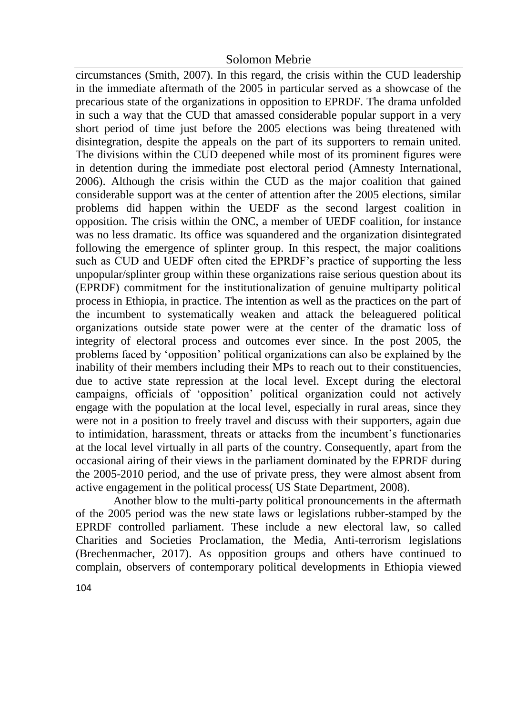circumstances (Smith, 2007). In this regard, the crisis within the CUD leadership in the immediate aftermath of the 2005 in particular served as a showcase of the precarious state of the organizations in opposition to EPRDF. The drama unfolded in such a way that the CUD that amassed considerable popular support in a very short period of time just before the 2005 elections was being threatened with disintegration, despite the appeals on the part of its supporters to remain united. The divisions within the CUD deepened while most of its prominent figures were in detention during the immediate post electoral period (Amnesty International, 2006). Although the crisis within the CUD as the major coalition that gained considerable support was at the center of attention after the 2005 elections, similar problems did happen within the UEDF as the second largest coalition in opposition. The crisis within the ONC, a member of UEDF coalition, for instance was no less dramatic. Its office was squandered and the organization disintegrated following the emergence of splinter group. In this respect, the major coalitions such as CUD and UEDF often cited the EPRDF's practice of supporting the less unpopular/splinter group within these organizations raise serious question about its (EPRDF) commitment for the institutionalization of genuine multiparty political process in Ethiopia, in practice. The intention as well as the practices on the part of the incumbent to systematically weaken and attack the beleaguered political organizations outside state power were at the center of the dramatic loss of integrity of electoral process and outcomes ever since. In the post 2005, the problems faced by ‗opposition' political organizations can also be explained by the inability of their members including their MPs to reach out to their constituencies, due to active state repression at the local level. Except during the electoral campaigns, officials of 'opposition' political organization could not actively engage with the population at the local level, especially in rural areas, since they were not in a position to freely travel and discuss with their supporters, again due to intimidation, harassment, threats or attacks from the incumbent's functionaries at the local level virtually in all parts of the country. Consequently, apart from the occasional airing of their views in the parliament dominated by the EPRDF during the 2005-2010 period, and the use of private press, they were almost absent from active engagement in the political process( US State Department, 2008).

Another blow to the multi-party political pronouncements in the aftermath of the 2005 period was the new state laws or legislations rubber-stamped by the EPRDF controlled parliament. These include a new electoral law, so called Charities and Societies Proclamation, the Media, Anti-terrorism legislations [\(Brechenmacher,](https://carnegieendowment.org/experts/1268) 2017). As opposition groups and others have continued to complain, observers of contemporary political developments in Ethiopia viewed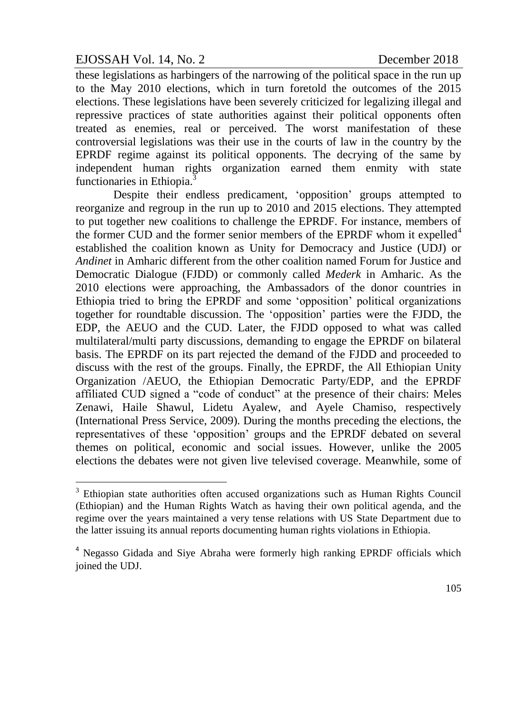$\overline{a}$ 

these legislations as harbingers of the narrowing of the political space in the run up to the May 2010 elections, which in turn foretold the outcomes of the 2015 elections. These legislations have been severely criticized for legalizing illegal and repressive practices of state authorities against their political opponents often treated as enemies, real or perceived. The worst manifestation of these controversial legislations was their use in the courts of law in the country by the EPRDF regime against its political opponents. The decrying of the same by independent human rights organization earned them enmity with state functionaries in Ethiopia.<sup>3</sup>

Despite their endless predicament, 'opposition' groups attempted to reorganize and regroup in the run up to 2010 and 2015 elections. They attempted to put together new coalitions to challenge the EPRDF. For instance, members of the former CUD and the former senior members of the EPRDF whom it expelled<sup>4</sup> established the coalition known as Unity for Democracy and Justice (UDJ) or *Andinet* in Amharic different from the other coalition named Forum for Justice and Democratic Dialogue (FJDD) or commonly called *Mederk* in Amharic. As the 2010 elections were approaching, the Ambassadors of the donor countries in Ethiopia tried to bring the EPRDF and some 'opposition' political organizations together for roundtable discussion. The 'opposition' parties were the FJDD, the EDP, the AEUO and the CUD. Later, the FJDD opposed to what was called multilateral/multi party discussions, demanding to engage the EPRDF on bilateral basis. The EPRDF on its part rejected the demand of the FJDD and proceeded to discuss with the rest of the groups. Finally, the EPRDF, the All Ethiopian Unity Organization /AEUO, the Ethiopian Democratic Party/EDP, and the EPRDF affiliated CUD signed a "code of conduct" at the presence of their chairs: Meles Zenawi, Haile Shawul, Lidetu Ayalew, and Ayele Chamiso, respectively (International Press Service, 2009). During the months preceding the elections, the representatives of these 'opposition' groups and the EPRDF debated on several themes on political, economic and social issues. However, unlike the 2005 elections the debates were not given live televised coverage. Meanwhile, some of

<sup>&</sup>lt;sup>3</sup> Ethiopian state authorities often accused organizations such as Human Rights Council (Ethiopian) and the Human Rights Watch as having their own political agenda, and the regime over the years maintained a very tense relations with US State Department due to the latter issuing its annual reports documenting human rights violations in Ethiopia.

<sup>&</sup>lt;sup>4</sup> Negasso Gidada and Siye Abraha were formerly high ranking EPRDF officials which joined the UDJ.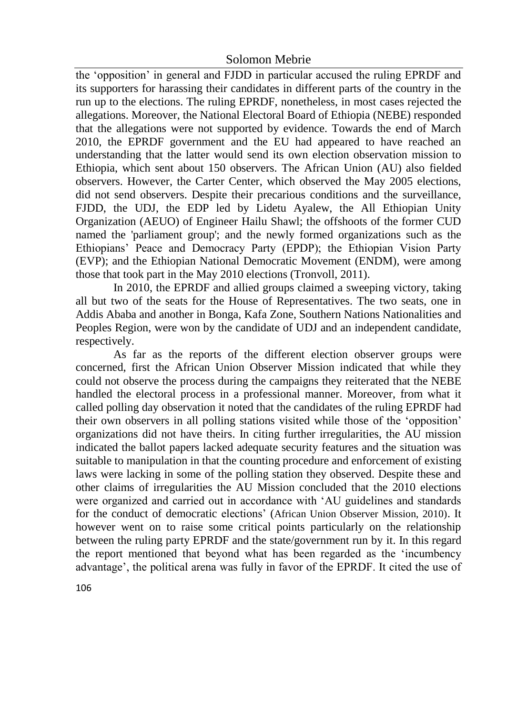the ‗opposition' in general and FJDD in particular accused the ruling EPRDF and its supporters for harassing their candidates in different parts of the country in the run up to the elections. The ruling EPRDF, nonetheless, in most cases rejected the allegations. Moreover, the National Electoral Board of Ethiopia (NEBE) responded that the allegations were not supported by evidence. Towards the end of March 2010, the EPRDF government and the EU had appeared to have reached an understanding that the latter would send its own election observation mission to Ethiopia, which sent about 150 observers. The African Union (AU) also fielded observers. However, the Carter Center, which observed the May 2005 elections, did not send observers. Despite their precarious conditions and the surveillance, FJDD, the UDJ, the EDP led by Lidetu Ayalew, the All Ethiopian Unity Organization (AEUO) of Engineer Hailu Shawl; the offshoots of the former CUD named the 'parliament group'; and the newly formed organizations such as the Ethiopians' Peace and Democracy Party (EPDP); the Ethiopian Vision Party (EVP); and the Ethiopian National Democratic Movement (ENDM), were among those that took part in the May 2010 elections (Tronvoll, 2011).

In 2010, the EPRDF and allied groups claimed a sweeping victory, taking all but two of the seats for the House of Representatives. The two seats, one in Addis Ababa and another in Bonga, Kafa Zone, Southern Nations Nationalities and Peoples Region, were won by the candidate of UDJ and an independent candidate, respectively.

As far as the reports of the different election observer groups were concerned, first the African Union Observer Mission indicated that while they could not observe the process during the campaigns they reiterated that the NEBE handled the electoral process in a professional manner. Moreover, from what it called polling day observation it noted that the candidates of the ruling EPRDF had their own observers in all polling stations visited while those of the 'opposition' organizations did not have theirs. In citing further irregularities, the AU mission indicated the ballot papers lacked adequate security features and the situation was suitable to manipulation in that the counting procedure and enforcement of existing laws were lacking in some of the polling station they observed. Despite these and other claims of irregularities the AU Mission concluded that the 2010 elections were organized and carried out in accordance with 'AU guidelines and standards for the conduct of democratic elections' (African Union Observer Mission, 2010). It however went on to raise some critical points particularly on the relationship between the ruling party EPRDF and the state/government run by it. In this regard the report mentioned that beyond what has been regarded as the ‗incumbency advantage', the political arena was fully in favor of the EPRDF. It cited the use of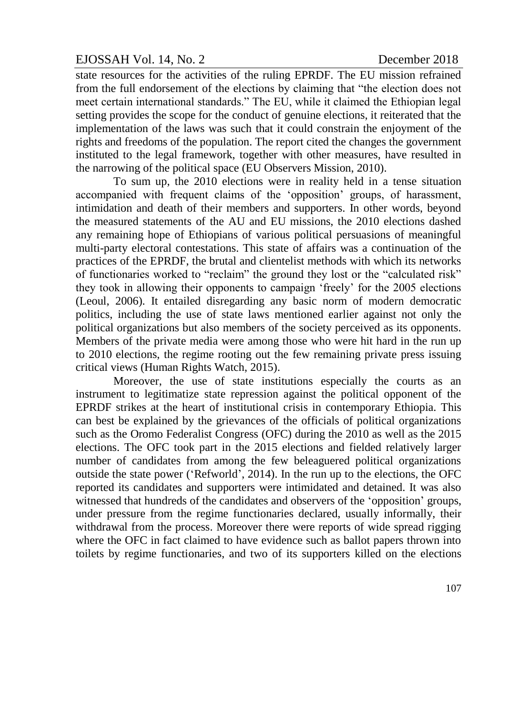state resources for the activities of the ruling EPRDF. The EU mission refrained from the full endorsement of the elections by claiming that "the election does not meet certain international standards." The EU, while it claimed the Ethiopian legal setting provides the scope for the conduct of genuine elections, it reiterated that the implementation of the laws was such that it could constrain the enjoyment of the rights and freedoms of the population. The report cited the changes the government instituted to the legal framework, together with other measures, have resulted in the narrowing of the political space (EU Observers Mission, 2010).

To sum up, the 2010 elections were in reality held in a tense situation accompanied with frequent claims of the 'opposition' groups, of harassment, intimidation and death of their members and supporters. In other words, beyond the measured statements of the AU and EU missions, the 2010 elections dashed any remaining hope of Ethiopians of various political persuasions of meaningful multi-party electoral contestations. This state of affairs was a continuation of the practices of the EPRDF, the brutal and clientelist methods with which its networks of functionaries worked to "reclaim" the ground they lost or the "calculated risk" they took in allowing their opponents to campaign ‗freely' for the 2005 elections (Leoul, 2006). It entailed disregarding any basic norm of modern democratic politics, including the use of state laws mentioned earlier against not only the political organizations but also members of the society perceived as its opponents. Members of the private media were among those who were hit hard in the run up to 2010 elections, the regime rooting out the few remaining private press issuing critical views (Human Rights Watch, 2015).

Moreover, the use of state institutions especially the courts as an instrument to legitimatize state repression against the political opponent of the EPRDF strikes at the heart of institutional crisis in contemporary Ethiopia. This can best be explained by the grievances of the officials of political organizations such as the Oromo Federalist Congress (OFC) during the 2010 as well as the 2015 elections. The OFC took part in the 2015 elections and fielded relatively larger number of candidates from among the few beleaguered political organizations outside the state power (‗Refworld', 2014). In the run up to the elections, the OFC reported its candidates and supporters were intimidated and detained. It was also witnessed that hundreds of the candidates and observers of the 'opposition' groups, under pressure from the regime functionaries declared, usually informally, their withdrawal from the process. Moreover there were reports of wide spread rigging where the OFC in fact claimed to have evidence such as ballot papers thrown into toilets by regime functionaries, and two of its supporters killed on the elections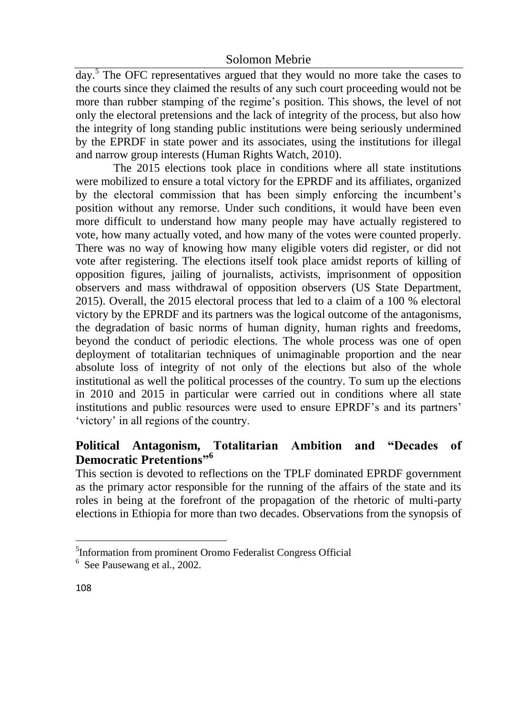day.<sup>5</sup> The OFC representatives argued that they would no more take the cases to the courts since they claimed the results of any such court proceeding would not be more than rubber stamping of the regime's position. This shows, the level of not only the electoral pretensions and the lack of integrity of the process, but also how the integrity of long standing public institutions were being seriously undermined by the EPRDF in state power and its associates, using the institutions for illegal and narrow group interests (Human Rights Watch, 2010).

The 2015 elections took place in conditions where all state institutions were mobilized to ensure a total victory for the EPRDF and its affiliates, organized by the electoral commission that has been simply enforcing the incumbent's position without any remorse. Under such conditions, it would have been even more difficult to understand how many people may have actually registered to vote, how many actually voted, and how many of the votes were counted properly. There was no way of knowing how many eligible voters did register, or did not vote after registering. The elections itself took place amidst reports of killing of opposition figures, jailing of journalists, activists, imprisonment of opposition observers and mass withdrawal of opposition observers (US State Department, 2015). Overall, the 2015 electoral process that led to a claim of a 100 % electoral victory by the EPRDF and its partners was the logical outcome of the antagonisms, the degradation of basic norms of human dignity, human rights and freedoms, beyond the conduct of periodic elections. The whole process was one of open deployment of totalitarian techniques of unimaginable proportion and the near absolute loss of integrity of not only of the elections but also of the whole institutional as well the political processes of the country. To sum up the elections in 2010 and 2015 in particular were carried out in conditions where all state institutions and public resources were used to ensure EPRDF's and its partners' ‗victory' in all regions of the country.

### **Political Antagonism, Totalitarian Ambition and "Decades of Democratic Pretentions"<sup>6</sup>**

This section is devoted to reflections on the TPLF dominated EPRDF government as the primary actor responsible for the running of the affairs of the state and its roles in being at the forefront of the propagation of the rhetoric of multi-party elections in Ethiopia for more than two decades. Observations from the synopsis of

 $\overline{a}$ 

<sup>5</sup> Information from prominent Oromo Federalist Congress Official

<sup>6</sup> See Pausewang et al., 2002.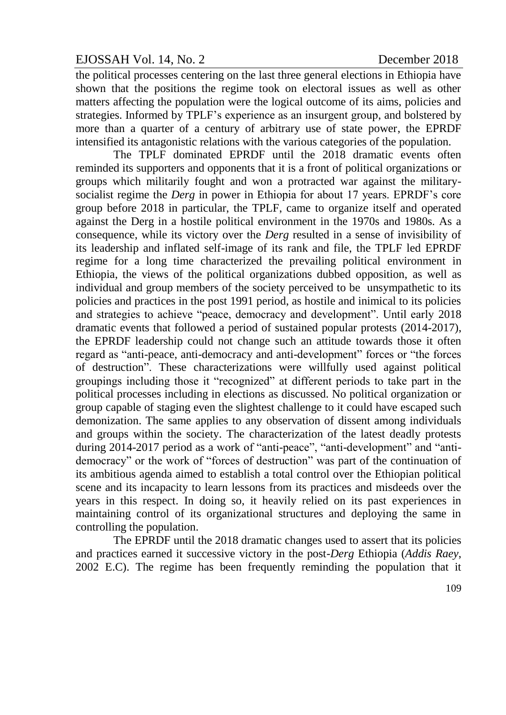the political processes centering on the last three general elections in Ethiopia have shown that the positions the regime took on electoral issues as well as other matters affecting the population were the logical outcome of its aims, policies and strategies. Informed by TPLF's experience as an insurgent group, and bolstered by more than a quarter of a century of arbitrary use of state power, the EPRDF intensified its antagonistic relations with the various categories of the population.

The TPLF dominated EPRDF until the 2018 dramatic events often reminded its supporters and opponents that it is a front of political organizations or groups which militarily fought and won a protracted war against the militarysocialist regime the *Derg* in power in Ethiopia for about 17 years. EPRDF's core group before 2018 in particular, the TPLF, came to organize itself and operated against the Derg in a hostile political environment in the 1970s and 1980s. As a consequence, while its victory over the *Derg* resulted in a sense of invisibility of its leadership and inflated self-image of its rank and file, the TPLF led EPRDF regime for a long time characterized the prevailing political environment in Ethiopia, the views of the political organizations dubbed opposition, as well as individual and group members of the society perceived to be unsympathetic to its policies and practices in the post 1991 period, as hostile and inimical to its policies and strategies to achieve "peace, democracy and development". Until early 2018 dramatic events that followed a period of sustained popular protests (2014-2017), the EPRDF leadership could not change such an attitude towards those it often regard as "anti-peace, anti-democracy and anti-development" forces or "the forces of destruction‖. These characterizations were willfully used against political groupings including those it "recognized" at different periods to take part in the political processes including in elections as discussed. No political organization or group capable of staging even the slightest challenge to it could have escaped such demonization. The same applies to any observation of dissent among individuals and groups within the society. The characterization of the latest deadly protests during 2014-2017 period as a work of "anti-peace", "anti-development" and "antidemocracy" or the work of "forces of destruction" was part of the continuation of its ambitious agenda aimed to establish a total control over the Ethiopian political scene and its incapacity to learn lessons from its practices and misdeeds over the years in this respect. In doing so, it heavily relied on its past experiences in maintaining control of its organizational structures and deploying the same in controlling the population.

The EPRDF until the 2018 dramatic changes used to assert that its policies and practices earned it successive victory in the post-*Derg* Ethiopia (*Addis Raey*, 2002 E.C). The regime has been frequently reminding the population that it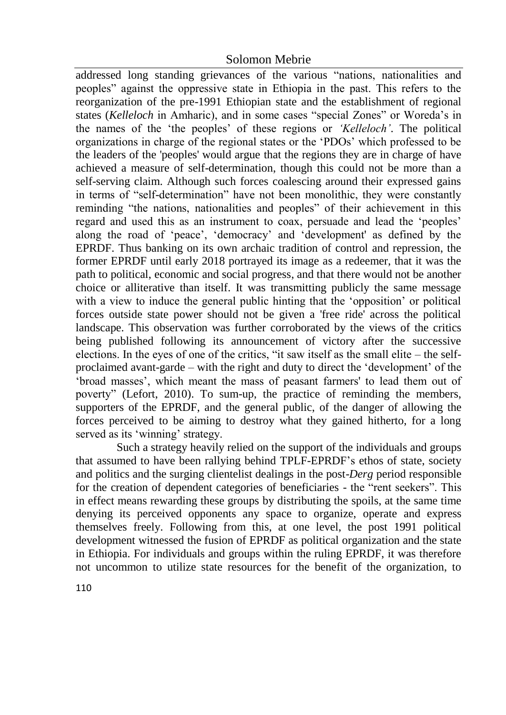addressed long standing grievances of the various "nations, nationalities and peoples‖ against the oppressive state in Ethiopia in the past. This refers to the reorganization of the pre-1991 Ethiopian state and the establishment of regional states (*Kelleloch* in Amharic), and in some cases "special Zones" or Woreda's in the names of the 'the peoples' of these regions or 'Kelleloch'. The political organizations in charge of the regional states or the ‗PDOs' which professed to be the leaders of the 'peoples' would argue that the regions they are in charge of have achieved a measure of self-determination, though this could not be more than a self-serving claim. Although such forces coalescing around their expressed gains in terms of "self-determination" have not been monolithic, they were constantly reminding "the nations, nationalities and peoples" of their achievement in this regard and used this as an instrument to coax, persuade and lead the 'peoples' along the road of 'peace', 'democracy' and 'development' as defined by the EPRDF. Thus banking on its own archaic tradition of control and repression, the former EPRDF until early 2018 portrayed its image as a redeemer, that it was the path to political, economic and social progress, and that there would not be another choice or alliterative than itself. It was transmitting publicly the same message with a view to induce the general public hinting that the 'opposition' or political forces outside state power should not be given a 'free ride' across the political landscape. This observation was further corroborated by the views of the critics being published following its announcement of victory after the successive elections. In the eyes of one of the critics, "it saw itself as the small elite – the selfproclaimed avant-garde – with the right and duty to direct the 'development' of the 'broad masses', which meant the mass of peasant farmers' to lead them out of poverty‖ (Lefort, 2010). To sum-up, the practice of reminding the members, supporters of the EPRDF, and the general public, of the danger of allowing the forces perceived to be aiming to destroy what they gained hitherto, for a long served as its 'winning' strategy.

Such a strategy heavily relied on the support of the individuals and groups that assumed to have been rallying behind TPLF-EPRDF's ethos of state, society and politics and the surging clientelist dealings in the post-*Derg* period responsible for the creation of dependent categories of beneficiaries - the "rent seekers". This in effect means rewarding these groups by distributing the spoils, at the same time denying its perceived opponents any space to organize, operate and express themselves freely. Following from this, at one level, the post 1991 political development witnessed the fusion of EPRDF as political organization and the state in Ethiopia. For individuals and groups within the ruling EPRDF, it was therefore not uncommon to utilize state resources for the benefit of the organization, to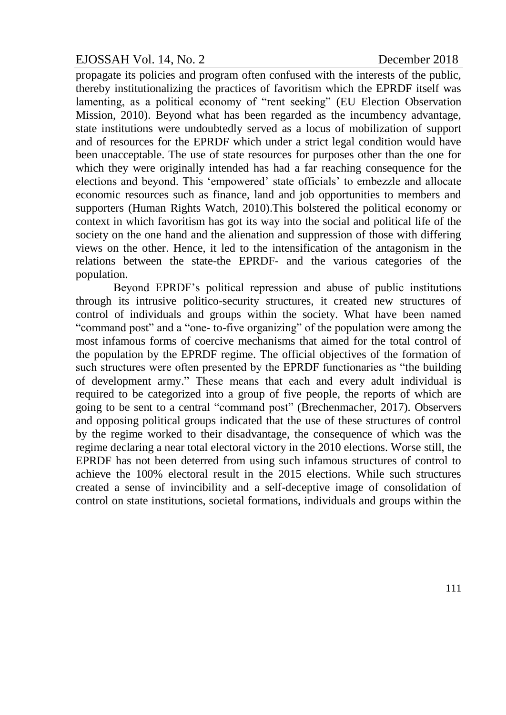propagate its policies and program often confused with the interests of the public, thereby institutionalizing the practices of favoritism which the EPRDF itself was lamenting, as a political economy of "rent seeking" (EU Election Observation Mission, 2010). Beyond what has been regarded as the incumbency advantage, state institutions were undoubtedly served as a locus of mobilization of support and of resources for the EPRDF which under a strict legal condition would have been unacceptable. The use of state resources for purposes other than the one for which they were originally intended has had a far reaching consequence for the elections and beyond. This ‗empowered' state officials' to embezzle and allocate economic resources such as finance, land and job opportunities to members and supporters (Human Rights Watch, 2010).This bolstered the political economy or context in which favoritism has got its way into the social and political life of the society on the one hand and the alienation and suppression of those with differing views on the other. Hence, it led to the intensification of the antagonism in the relations between the state-the EPRDF- and the various categories of the population.

Beyond EPRDF's political repression and abuse of public institutions through its intrusive politico-security structures, it created new structures of control of individuals and groups within the society. What have been named "command post" and a "one- to-five organizing" of the population were among the most infamous forms of coercive mechanisms that aimed for the total control of the population by the EPRDF regime. The official objectives of the formation of such structures were often presented by the EPRDF functionaries as "the building" of development army." These means that each and every adult individual is required to be categorized into a group of five people, the reports of which are going to be sent to a central "command post" [\(Brechenmacher,](https://carnegieendowment.org/experts/1268) 2017). Observers and opposing political groups indicated that the use of these structures of control by the regime worked to their disadvantage, the consequence of which was the regime declaring a near total electoral victory in the 2010 elections. Worse still, the EPRDF has not been deterred from using such infamous structures of control to achieve the 100% electoral result in the 2015 elections. While such structures created a sense of invincibility and a self-deceptive image of consolidation of control on state institutions, societal formations, individuals and groups within the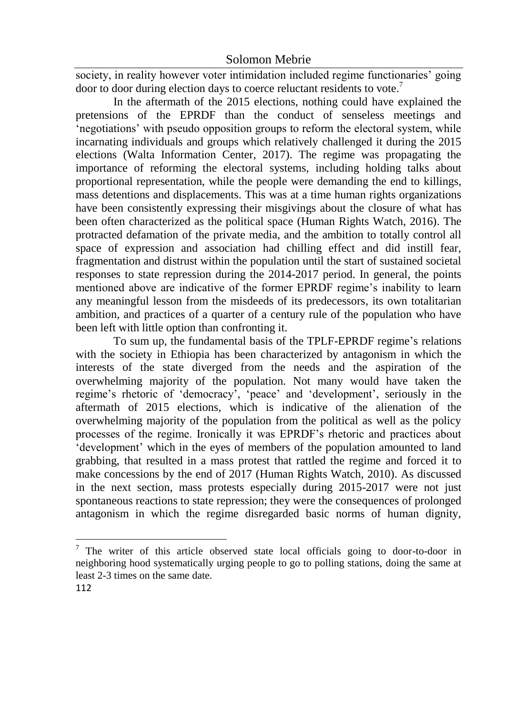society, in reality however voter intimidation included regime functionaries' going door to door during election days to coerce reluctant residents to vote.<sup>7</sup>

In the aftermath of the 2015 elections, nothing could have explained the pretensions of the EPRDF than the conduct of senseless meetings and 'negotiations' with pseudo opposition groups to reform the electoral system, while incarnating individuals and groups which relatively challenged it during the 2015 elections (Walta Information Center, 2017). The regime was propagating the importance of reforming the electoral systems, including holding talks about proportional representation, while the people were demanding the end to killings, mass detentions and displacements. This was at a time human rights organizations have been consistently expressing their misgivings about the closure of what has been often characterized as the political space (Human Rights Watch, 2016). The protracted defamation of the private media, and the ambition to totally control all space of expression and association had chilling effect and did instill fear, fragmentation and distrust within the population until the start of sustained societal responses to state repression during the 2014-2017 period. In general, the points mentioned above are indicative of the former EPRDF regime's inability to learn any meaningful lesson from the misdeeds of its predecessors, its own totalitarian ambition, and practices of a quarter of a century rule of the population who have been left with little option than confronting it.

To sum up, the fundamental basis of the TPLF-EPRDF regime's relations with the society in Ethiopia has been characterized by antagonism in which the interests of the state diverged from the needs and the aspiration of the overwhelming majority of the population. Not many would have taken the regime's rhetoric of 'democracy', 'peace' and 'development', seriously in the aftermath of 2015 elections, which is indicative of the alienation of the overwhelming majority of the population from the political as well as the policy processes of the regime. Ironically it was EPRDF's rhetoric and practices about ‗development' which in the eyes of members of the population amounted to land grabbing, that resulted in a mass protest that rattled the regime and forced it to make concessions by the end of 2017 (Human Rights Watch, 2010). As discussed in the next section, mass protests especially during 2015-2017 were not just spontaneous reactions to state repression; they were the consequences of prolonged antagonism in which the regime disregarded basic norms of human dignity,

 $\overline{a}$ 

 $7$  The writer of this article observed state local officials going to door-to-door in neighboring hood systematically urging people to go to polling stations, doing the same at least 2-3 times on the same date.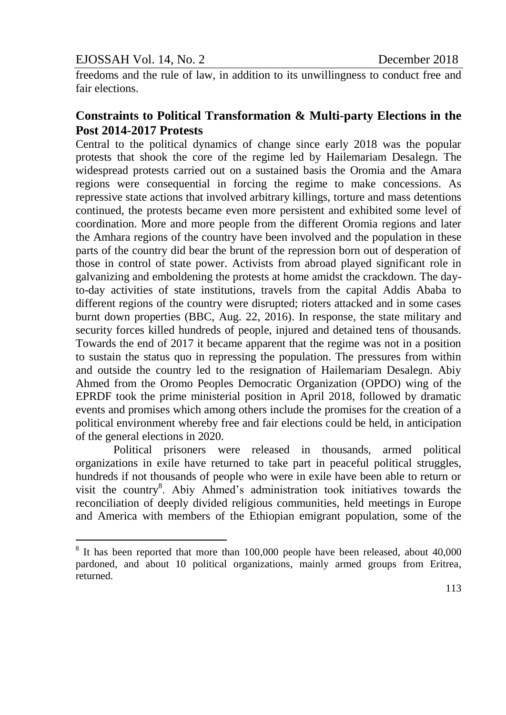freedoms and the rule of law, in addition to its unwillingness to conduct free and fair elections.

## **Constraints to Political Transformation & Multi-party Elections in the Post 2014-2017 Protests**

Central to the political dynamics of change since early 2018 was the popular protests that shook the core of the regime led by Hailemariam Desalegn. The widespread protests carried out on a sustained basis the Oromia and the Amara regions were consequential in forcing the regime to make concessions. As repressive state actions that involved arbitrary killings, torture and mass detentions continued, the protests became even more persistent and exhibited some level of coordination. More and more people from the different Oromia regions and later the Amhara regions of the country have been involved and the population in these parts of the country did bear the brunt of the repression born out of desperation of those in control of state power. Activists from abroad played significant role in galvanizing and emboldening the protests at home amidst the crackdown. The dayto-day activities of state institutions, travels from the capital Addis Ababa to different regions of the country were disrupted; rioters attacked and in some cases burnt down properties (BBC, Aug. 22, 2016). In response, the state military and security forces killed hundreds of people, injured and detained tens of thousands. Towards the end of 2017 it became apparent that the regime was not in a position to sustain the status quo in repressing the population. The pressures from within and outside the country led to the resignation of Hailemariam Desalegn. Abiy Ahmed from the Oromo Peoples Democratic Organization (OPDO) wing of the EPRDF took the prime ministerial position in April 2018, followed by dramatic events and promises which among others include the promises for the creation of a political environment whereby free and fair elections could be held, in anticipation of the general elections in 2020.

Political prisoners were released in thousands, armed political organizations in exile have returned to take part in peaceful political struggles, hundreds if not thousands of people who were in exile have been able to return or visit the country<sup>8</sup>. Abiy Ahmed's administration took initiatives towards the reconciliation of deeply divided religious communities, held meetings in Europe and America with members of the Ethiopian emigrant population, some of the

 $\overline{a}$ <sup>8</sup> It has been reported that more than 100,000 people have been released, about 40,000 pardoned, and about 10 political organizations, mainly armed groups from Eritrea, returned.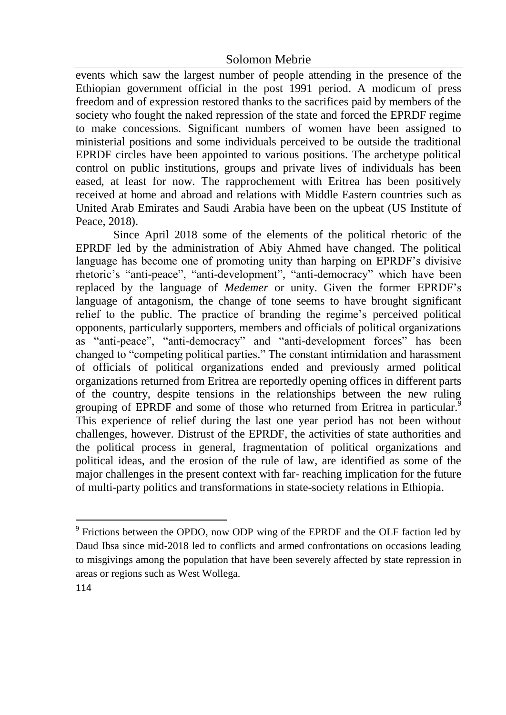events which saw the largest number of people attending in the presence of the Ethiopian government official in the post 1991 period. A modicum of press freedom and of expression restored thanks to the sacrifices paid by members of the society who fought the naked repression of the state and forced the EPRDF regime to make concessions. Significant numbers of women have been assigned to ministerial positions and some individuals perceived to be outside the traditional EPRDF circles have been appointed to various positions. The archetype political control on public institutions, groups and private lives of individuals has been eased, at least for now. The rapprochement with Eritrea has been positively received at home and abroad and relations with Middle Eastern countries such as United Arab Emirates and Saudi Arabia have been on the upbeat (US Institute of Peace, 2018).

Since April 2018 some of the elements of the political rhetoric of the EPRDF led by the administration of Abiy Ahmed have changed. The political language has become one of promoting unity than harping on EPRDF's divisive rhetoric's "anti-peace", "anti-development", "anti-democracy" which have been replaced by the language of *Medemer* or unity. Given the former EPRDF's language of antagonism, the change of tone seems to have brought significant relief to the public. The practice of branding the regime's perceived political opponents, particularly supporters, members and officials of political organizations as "anti-peace", "anti-democracy" and "anti-development forces" has been changed to "competing political parties." The constant intimidation and harassment of officials of political organizations ended and previously armed political organizations returned from Eritrea are reportedly opening offices in different parts of the country, despite tensions in the relationships between the new ruling grouping of EPRDF and some of those who returned from Eritrea in particular.<sup>9</sup> This experience of relief during the last one year period has not been without challenges, however. Distrust of the EPRDF, the activities of state authorities and the political process in general, fragmentation of political organizations and political ideas, and the erosion of the rule of law, are identified as some of the major challenges in the present context with far- reaching implication for the future of multi-party politics and transformations in state-society relations in Ethiopia.

 $\overline{a}$ 

 $9$  Frictions between the OPDO, now ODP wing of the EPRDF and the OLF faction led by Daud Ibsa since mid-2018 led to conflicts and armed confrontations on occasions leading to misgivings among the population that have been severely affected by state repression in areas or regions such as West Wollega.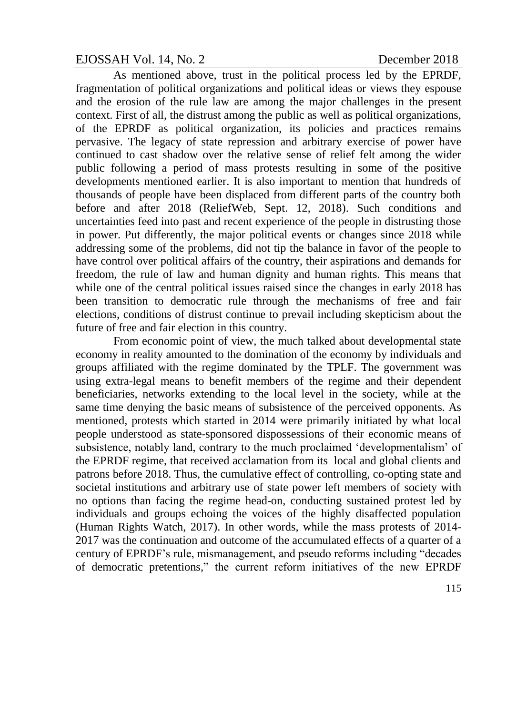As mentioned above, trust in the political process led by the EPRDF, fragmentation of political organizations and political ideas or views they espouse and the erosion of the rule law are among the major challenges in the present context. First of all, the distrust among the public as well as political organizations, of the EPRDF as political organization, its policies and practices remains pervasive. The legacy of state repression and arbitrary exercise of power have continued to cast shadow over the relative sense of relief felt among the wider public following a period of mass protests resulting in some of the positive developments mentioned earlier. It is also important to mention that hundreds of thousands of people have been displaced from different parts of the country both before and after 2018 (ReliefWeb, Sept. 12, 2018). Such conditions and uncertainties feed into past and recent experience of the people in distrusting those in power. Put differently, the major political events or changes since 2018 while addressing some of the problems, did not tip the balance in favor of the people to have control over political affairs of the country, their aspirations and demands for freedom, the rule of law and human dignity and human rights. This means that while one of the central political issues raised since the changes in early 2018 has been transition to democratic rule through the mechanisms of free and fair elections, conditions of distrust continue to prevail including skepticism about the future of free and fair election in this country.

From economic point of view, the much talked about developmental state economy in reality amounted to the domination of the economy by individuals and groups affiliated with the regime dominated by the TPLF. The government was using extra-legal means to benefit members of the regime and their dependent beneficiaries, networks extending to the local level in the society, while at the same time denying the basic means of subsistence of the perceived opponents. As mentioned, protests which started in 2014 were primarily initiated by what local people understood as state-sponsored dispossessions of their economic means of subsistence, notably land, contrary to the much proclaimed ‗developmentalism' of the EPRDF regime, that received acclamation from its local and global clients and patrons before 2018. Thus, the cumulative effect of controlling, co-opting state and societal institutions and arbitrary use of state power left members of society with no options than facing the regime head-on, conducting sustained protest led by individuals and groups echoing the voices of the highly disaffected population (Human Rights Watch, 2017). In other words, while the mass protests of 2014- 2017 was the continuation and outcome of the accumulated effects of a quarter of a century of EPRDF's rule, mismanagement, and pseudo reforms including "decades" of democratic pretentions," the current reform initiatives of the new EPRDF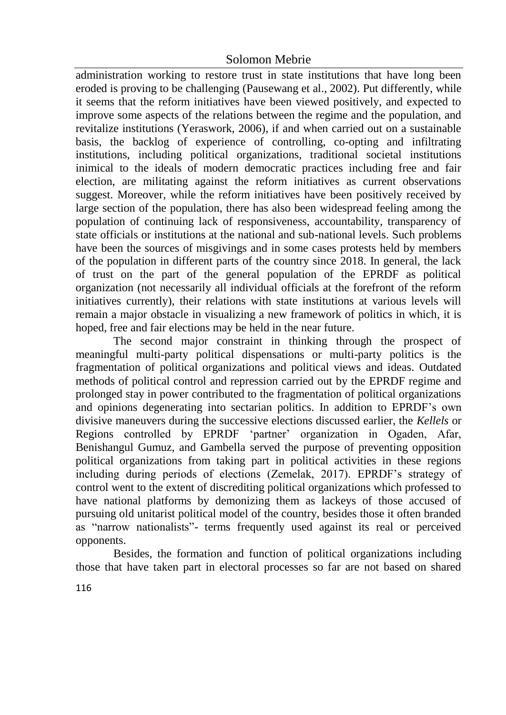administration working to restore trust in state institutions that have long been eroded is proving to be challenging (Pausewang et al., 2002). Put differently, while it seems that the reform initiatives have been viewed positively, and expected to improve some aspects of the relations between the regime and the population, and revitalize institutions (Yeraswork, 2006), if and when carried out on a sustainable basis, the backlog of experience of controlling, co-opting and infiltrating institutions, including political organizations, traditional societal institutions inimical to the ideals of modern democratic practices including free and fair election, are militating against the reform initiatives as current observations suggest. Moreover, while the reform initiatives have been positively received by large section of the population, there has also been widespread feeling among the population of continuing lack of responsiveness, accountability, transparency of state officials or institutions at the national and sub-national levels. Such problems have been the sources of misgivings and in some cases protests held by members of the population in different parts of the country since 2018. In general, the lack of trust on the part of the general population of the EPRDF as political organization (not necessarily all individual officials at the forefront of the reform initiatives currently), their relations with state institutions at various levels will remain a major obstacle in visualizing a new framework of politics in which, it is hoped, free and fair elections may be held in the near future.

The second major constraint in thinking through the prospect of meaningful multi-party political dispensations or multi-party politics is the fragmentation of political organizations and political views and ideas. Outdated methods of political control and repression carried out by the EPRDF regime and prolonged stay in power contributed to the fragmentation of political organizations and opinions degenerating into sectarian politics. In addition to EPRDF's own divisive maneuvers during the successive elections discussed earlier, the *Kellels* or Regions controlled by EPRDF 'partner' organization in Ogaden, Afar, Benishangul Gumuz, and Gambella served the purpose of preventing opposition political organizations from taking part in political activities in these regions including during periods of elections (Zemelak, 2017). EPRDF's strategy of control went to the extent of discrediting political organizations which professed to have national platforms by demonizing them as lackeys of those accused of pursuing old unitarist political model of the country, besides those it often branded as "narrow nationalists"- terms frequently used against its real or perceived opponents.

Besides, the formation and function of political organizations including those that have taken part in electoral processes so far are not based on shared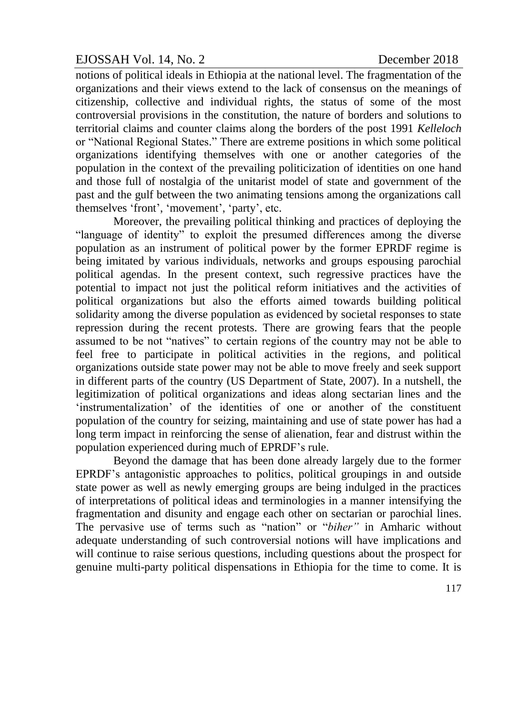notions of political ideals in Ethiopia at the national level. The fragmentation of the organizations and their views extend to the lack of consensus on the meanings of citizenship, collective and individual rights, the status of some of the most controversial provisions in the constitution, the nature of borders and solutions to territorial claims and counter claims along the borders of the post 1991 *Kelleloch* or "National Regional States." There are extreme positions in which some political organizations identifying themselves with one or another categories of the population in the context of the prevailing politicization of identities on one hand and those full of nostalgia of the unitarist model of state and government of the past and the gulf between the two animating tensions among the organizations call themselves ‗front', ‗movement', ‗party', etc.

Moreover, the prevailing political thinking and practices of deploying the ―language of identity‖ to exploit the presumed differences among the diverse population as an instrument of political power by the former EPRDF regime is being imitated by various individuals, networks and groups espousing parochial political agendas. In the present context, such regressive practices have the potential to impact not just the political reform initiatives and the activities of political organizations but also the efforts aimed towards building political solidarity among the diverse population as evidenced by societal responses to state repression during the recent protests. There are growing fears that the people assumed to be not "natives" to certain regions of the country may not be able to feel free to participate in political activities in the regions, and political organizations outside state power may not be able to move freely and seek support in different parts of the country (US Department of State, 2007). In a nutshell, the legitimization of political organizations and ideas along sectarian lines and the ‗instrumentalization' of the identities of one or another of the constituent population of the country for seizing, maintaining and use of state power has had a long term impact in reinforcing the sense of alienation, fear and distrust within the population experienced during much of EPRDF's rule.

Beyond the damage that has been done already largely due to the former EPRDF's antagonistic approaches to politics, political groupings in and outside state power as well as newly emerging groups are being indulged in the practices of interpretations of political ideas and terminologies in a manner intensifying the fragmentation and disunity and engage each other on sectarian or parochial lines. The pervasive use of terms such as "nation" or "*biher*" in Amharic without adequate understanding of such controversial notions will have implications and will continue to raise serious questions, including questions about the prospect for genuine multi-party political dispensations in Ethiopia for the time to come. It is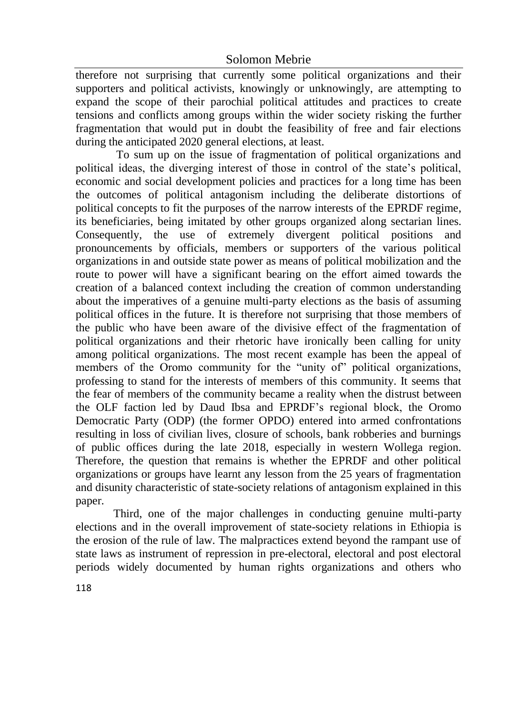therefore not surprising that currently some political organizations and their supporters and political activists, knowingly or unknowingly, are attempting to expand the scope of their parochial political attitudes and practices to create tensions and conflicts among groups within the wider society risking the further fragmentation that would put in doubt the feasibility of free and fair elections during the anticipated 2020 general elections, at least.

To sum up on the issue of fragmentation of political organizations and political ideas, the diverging interest of those in control of the state's political, economic and social development policies and practices for a long time has been the outcomes of political antagonism including the deliberate distortions of political concepts to fit the purposes of the narrow interests of the EPRDF regime, its beneficiaries, being imitated by other groups organized along sectarian lines. Consequently, the use of extremely divergent political positions and pronouncements by officials, members or supporters of the various political organizations in and outside state power as means of political mobilization and the route to power will have a significant bearing on the effort aimed towards the creation of a balanced context including the creation of common understanding about the imperatives of a genuine multi-party elections as the basis of assuming political offices in the future. It is therefore not surprising that those members of the public who have been aware of the divisive effect of the fragmentation of political organizations and their rhetoric have ironically been calling for unity among political organizations. The most recent example has been the appeal of members of the Oromo community for the "unity of" political organizations, professing to stand for the interests of members of this community. It seems that the fear of members of the community became a reality when the distrust between the OLF faction led by Daud Ibsa and EPRDF's regional block, the Oromo Democratic Party (ODP) (the former OPDO) entered into armed confrontations resulting in loss of civilian lives, closure of schools, bank robberies and burnings of public offices during the late 2018, especially in western Wollega region. Therefore, the question that remains is whether the EPRDF and other political organizations or groups have learnt any lesson from the 25 years of fragmentation and disunity characteristic of state-society relations of antagonism explained in this paper.

Third, one of the major challenges in conducting genuine multi-party elections and in the overall improvement of state-society relations in Ethiopia is the erosion of the rule of law. The malpractices extend beyond the rampant use of state laws as instrument of repression in pre-electoral, electoral and post electoral periods widely documented by human rights organizations and others who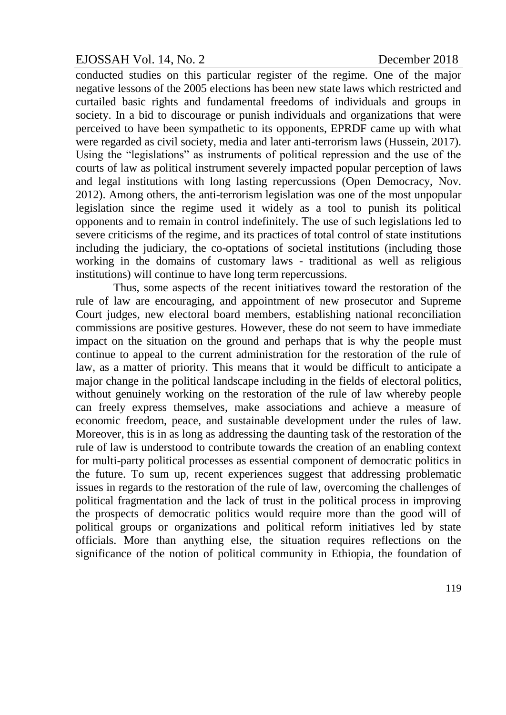conducted studies on this particular register of the regime. One of the major negative lessons of the 2005 elections has been new state laws which restricted and curtailed basic rights and fundamental freedoms of individuals and groups in society. In a bid to discourage or punish individuals and organizations that were perceived to have been sympathetic to its opponents, EPRDF came up with what were regarded as civil society, media and later anti-terrorism laws (Hussein, 2017). Using the "legislations" as instruments of political repression and the use of the courts of law as political instrument severely impacted popular perception of laws and legal institutions with long lasting repercussions (Open Democracy, Nov. 2012). Among others, the anti-terrorism legislation was one of the most unpopular legislation since the regime used it widely as a tool to punish its political opponents and to remain in control indefinitely. The use of such legislations led to severe criticisms of the regime, and its practices of total control of state institutions including the judiciary, the co-optations of societal institutions (including those working in the domains of customary laws - traditional as well as religious institutions) will continue to have long term repercussions.

Thus, some aspects of the recent initiatives toward the restoration of the rule of law are encouraging, and appointment of new prosecutor and Supreme Court judges, new electoral board members, establishing national reconciliation commissions are positive gestures. However, these do not seem to have immediate impact on the situation on the ground and perhaps that is why the people must continue to appeal to the current administration for the restoration of the rule of law, as a matter of priority. This means that it would be difficult to anticipate a major change in the political landscape including in the fields of electoral politics, without genuinely working on the restoration of the rule of law whereby people can freely express themselves, make associations and achieve a measure of economic freedom, peace, and sustainable development under the rules of law. Moreover, this is in as long as addressing the daunting task of the restoration of the rule of law is understood to contribute towards the creation of an enabling context for multi-party political processes as essential component of democratic politics in the future. To sum up, recent experiences suggest that addressing problematic issues in regards to the restoration of the rule of law, overcoming the challenges of political fragmentation and the lack of trust in the political process in improving the prospects of democratic politics would require more than the good will of political groups or organizations and political reform initiatives led by state officials. More than anything else, the situation requires reflections on the significance of the notion of political community in Ethiopia, the foundation of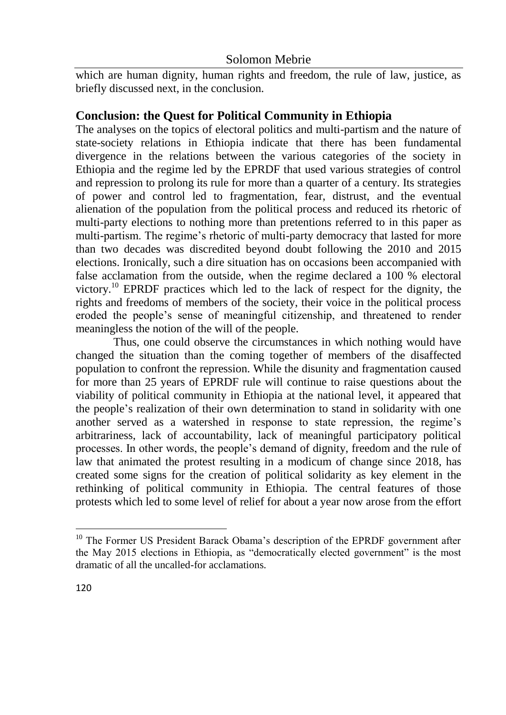which are human dignity, human rights and freedom, the rule of law, justice, as briefly discussed next, in the conclusion.

### **Conclusion: the Quest for Political Community in Ethiopia**

The analyses on the topics of electoral politics and multi-partism and the nature of state-society relations in Ethiopia indicate that there has been fundamental divergence in the relations between the various categories of the society in Ethiopia and the regime led by the EPRDF that used various strategies of control and repression to prolong its rule for more than a quarter of a century. Its strategies of power and control led to fragmentation, fear, distrust, and the eventual alienation of the population from the political process and reduced its rhetoric of multi-party elections to nothing more than pretentions referred to in this paper as multi-partism. The regime's rhetoric of multi-party democracy that lasted for more than two decades was discredited beyond doubt following the 2010 and 2015 elections. Ironically, such a dire situation has on occasions been accompanied with false acclamation from the outside, when the regime declared a 100 % electoral victory.<sup>10</sup> EPRDF practices which led to the lack of respect for the dignity, the rights and freedoms of members of the society, their voice in the political process eroded the people's sense of meaningful citizenship, and threatened to render meaningless the notion of the will of the people.

Thus, one could observe the circumstances in which nothing would have changed the situation than the coming together of members of the disaffected population to confront the repression. While the disunity and fragmentation caused for more than 25 years of EPRDF rule will continue to raise questions about the viability of political community in Ethiopia at the national level, it appeared that the people's realization of their own determination to stand in solidarity with one another served as a watershed in response to state repression, the regime's arbitrariness, lack of accountability, lack of meaningful participatory political processes. In other words, the people's demand of dignity, freedom and the rule of law that animated the protest resulting in a modicum of change since 2018, has created some signs for the creation of political solidarity as key element in the rethinking of political community in Ethiopia. The central features of those protests which led to some level of relief for about a year now arose from the effort

 $\overline{a}$ 

<sup>&</sup>lt;sup>10</sup> The Former US President Barack Obama's description of the EPRDF government after the May 2015 elections in Ethiopia, as "democratically elected government" is the most dramatic of all the uncalled-for acclamations.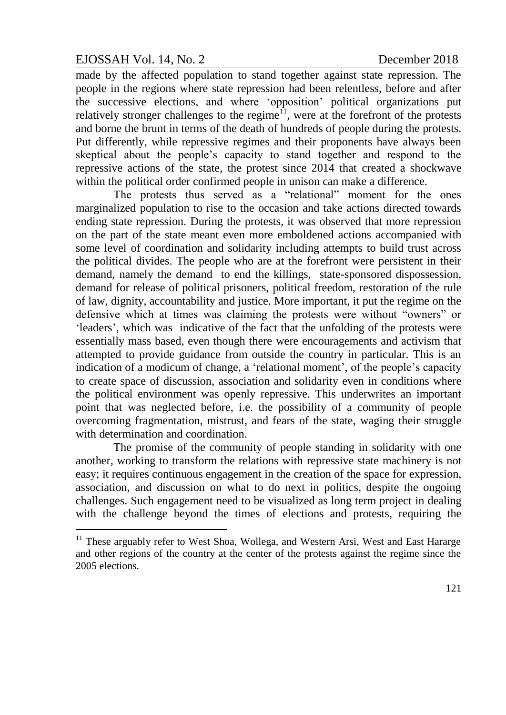$\overline{a}$ 

made by the affected population to stand together against state repression. The people in the regions where state repression had been relentless, before and after the successive elections, and where ‗opposition' political organizations put relatively stronger challenges to the regime<sup> $11$ </sup>, were at the forefront of the protests and borne the brunt in terms of the death of hundreds of people during the protests. Put differently, while repressive regimes and their proponents have always been skeptical about the people's capacity to stand together and respond to the repressive actions of the state, the protest since 2014 that created a shockwave within the political order confirmed people in unison can make a difference.

The protests thus served as a "relational" moment for the ones marginalized population to rise to the occasion and take actions directed towards ending state repression. During the protests, it was observed that more repression on the part of the state meant even more emboldened actions accompanied with some level of coordination and solidarity including attempts to build trust across the political divides. The people who are at the forefront were persistent in their demand, namely the demand to end the killings, state-sponsored dispossession, demand for release of political prisoners, political freedom, restoration of the rule of law, dignity, accountability and justice. More important, it put the regime on the defensive which at times was claiming the protests were without "owners" or ‗leaders', which was indicative of the fact that the unfolding of the protests were essentially mass based, even though there were encouragements and activism that attempted to provide guidance from outside the country in particular. This is an indication of a modicum of change, a 'relational moment', of the people's capacity to create space of discussion, association and solidarity even in conditions where the political environment was openly repressive. This underwrites an important point that was neglected before, i.e. the possibility of a community of people overcoming fragmentation, mistrust, and fears of the state, waging their struggle with determination and coordination.

The promise of the community of people standing in solidarity with one another, working to transform the relations with repressive state machinery is not easy; it requires continuous engagement in the creation of the space for expression, association, and discussion on what to do next in politics, despite the ongoing challenges. Such engagement need to be visualized as long term project in dealing with the challenge beyond the times of elections and protests, requiring the

<sup>&</sup>lt;sup>11</sup> These arguably refer to West Shoa, Wollega, and Western Arsi, West and East Hararge and other regions of the country at the center of the protests against the regime since the 2005 elections.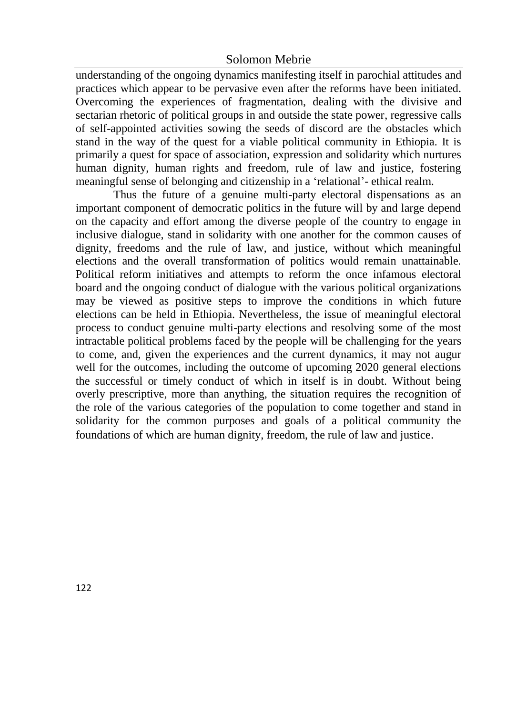understanding of the ongoing dynamics manifesting itself in parochial attitudes and practices which appear to be pervasive even after the reforms have been initiated. Overcoming the experiences of fragmentation, dealing with the divisive and sectarian rhetoric of political groups in and outside the state power, regressive calls of self-appointed activities sowing the seeds of discord are the obstacles which stand in the way of the quest for a viable political community in Ethiopia. It is primarily a quest for space of association, expression and solidarity which nurtures human dignity, human rights and freedom, rule of law and justice, fostering meaningful sense of belonging and citizenship in a 'relational'- ethical realm.

Thus the future of a genuine multi-party electoral dispensations as an important component of democratic politics in the future will by and large depend on the capacity and effort among the diverse people of the country to engage in inclusive dialogue, stand in solidarity with one another for the common causes of dignity, freedoms and the rule of law, and justice, without which meaningful elections and the overall transformation of politics would remain unattainable. Political reform initiatives and attempts to reform the once infamous electoral board and the ongoing conduct of dialogue with the various political organizations may be viewed as positive steps to improve the conditions in which future elections can be held in Ethiopia. Nevertheless, the issue of meaningful electoral process to conduct genuine multi-party elections and resolving some of the most intractable political problems faced by the people will be challenging for the years to come, and, given the experiences and the current dynamics, it may not augur well for the outcomes, including the outcome of upcoming 2020 general elections the successful or timely conduct of which in itself is in doubt. Without being overly prescriptive, more than anything, the situation requires the recognition of the role of the various categories of the population to come together and stand in solidarity for the common purposes and goals of a political community the foundations of which are human dignity, freedom, the rule of law and justice.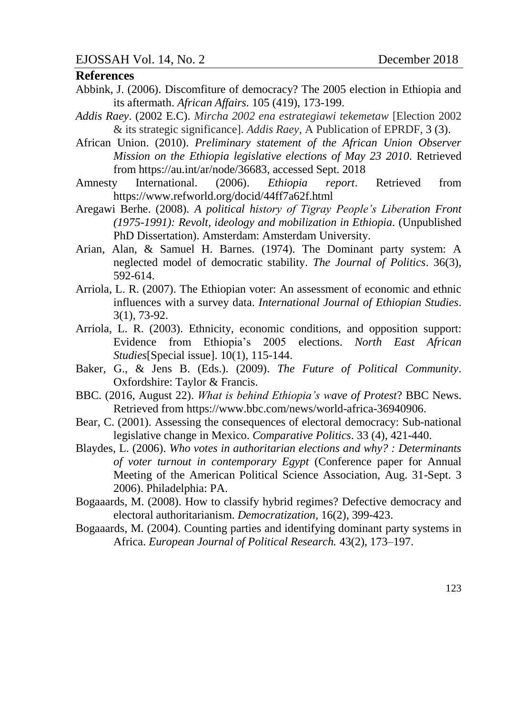#### **References**

- Abbink, J. (2006). Discomfiture of democracy? The 2005 election in Ethiopia and its aftermath. *African Affairs.* 105 (419), 173-199.
- *Addis Raey*. (2002 E.C). *Mircha 2002 ena estrategiawi tekemetaw* [Election 2002 & its strategic significance]. *Addis Raey*, A Publication of EPRDF, 3 (3).
- African Union. (2010). *Preliminary statement of the African Union Observer Mission on the Ethiopia legislative elections of May 23 2010*. Retrieved from https://au.int/ar/node/36683, accessed Sept. 2018
- Amnesty International. (2006). *Ethiopia report*. Retrieved from https://www.refworld.org/docid/44ff7a62f.html
- Aregawi Berhe. (2008). *A political history of Tigray People's Liberation Front (1975-1991): Revolt, ideology and mobilization in Ethiopia.* (Unpublished PhD Dissertation). Amsterdam: Amsterdam University.
- Arian, Alan, & Samuel H. Barnes. (1974). The Dominant party system: A neglected model of democratic stability. *The Journal of Politics*. 36(3), 592-614.
- Arriola, L. R. (2007). The Ethiopian voter: An assessment of economic and ethnic influences with a survey data. *International Journal of Ethiopian Studies*. 3(1), 73-92.
- Arriola, L. R. (2003). Ethnicity, economic conditions, and opposition support: Evidence from Ethiopia's 2005 elections. *North East African Studies*[Special issue]. 10(1), 115-144.
- Baker, G., & Jens B. (Eds.). (2009). *The Future of Political Community*. Oxfordshire: Taylor & Francis.
- BBC. (2016, August 22). *What is behind Ethiopia's wave of Protest*? BBC News. Retrieved from [https://www.bbc.com/news/world-africa-36940906.](https://www.bbc.com/news/world-africa-36940906)
- Bear, C. (2001). Assessing the consequences of electoral democracy: Sub-national legislative change in Mexico. *Comparative Politics*. 33 (4), 421-440.
- Blaydes, L. (2006). *Who votes in authoritarian elections and why? : Determinants of voter turnout in contemporary Egypt* (Conference paper for Annual Meeting of the American Political Science Association, Aug. 31-Sept. 3 2006). Philadelphia: PA.
- Bogaaards, M. (2008). How to classify hybrid regimes? Defective democracy and electoral authoritarianism. *Democratization,* 16(2), 399-423.
- Bogaaards, M. (2004). Counting parties and identifying dominant party systems in Africa. *European Journal of Political Research.* 43(2), 173–197.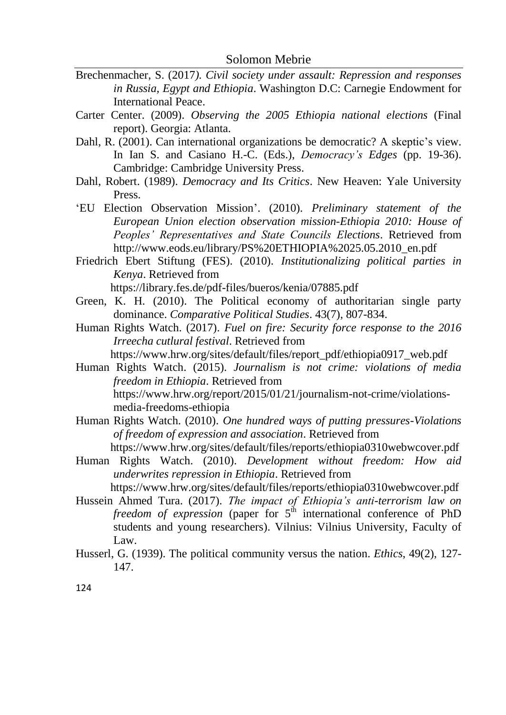- [Brechenmacher,](https://carnegieendowment.org/experts/1268) S. (2017*). Civil society under assault: Repression and responses in Russia, Egypt and Ethiopia*. Washington D.C: Carnegie Endowment for International Peace.
- Carter Center. (2009). *Observing the 2005 Ethiopia national elections* (Final report). Georgia: Atlanta.
- Dahl, R. (2001). Can international organizations be democratic? A skeptic's view. In Ian S. and Casiano H.-C. (Eds.), *Democracy's Edges* (pp. 19-36). Cambridge: Cambridge University Press.
- Dahl, Robert. (1989). *Democracy and Its Critics*. New Heaven: Yale University Press.
- ‗EU Election Observation Mission'. (2010). *Preliminary statement of the European Union election observation mission-Ethiopia 2010: House of Peoples' Representatives and State Councils Elections*. Retrieved from [http://www.eods.eu/library/PS%20ETHIOPIA%2025.05.2010\\_en.pdf](http://www.eods.eu/library/PS%20ETHIOPIA%2025.05.2010_en.pdf)
- Friedrich Ebert Stiftung (FES). (2010). *Institutionalizing political parties in Kenya*. Retrieved from <https://library.fes.de/pdf-files/bueros/kenia/07885.pdf>
- Green, K. H. (2010). The Political economy of authoritarian single party dominance. *Comparative Political Studies*. 43(7), 807-834.
- Human Rights Watch. (2017). *Fuel on fire: Security force response to the 2016 Irreecha cutlural festival*. Retrieved from [https://www.hrw.org/sites/default/files/report\\_pdf/ethiopia0917\\_web.pdf](https://www.hrw.org/sites/default/files/report_pdf/ethiopia0917_web.pdf)
- Human Rights Watch. (2015). *Journalism is not crime: violations of media freedom in Ethiopia*. Retrieved from [https://www.hrw.org/report/2015/01/21/journalism-not-crime/violations](https://www.hrw.org/report/2015/01/21/journalism-not-crime/violations-media-freedoms-ethiopia)[media-freedoms-ethiopia](https://www.hrw.org/report/2015/01/21/journalism-not-crime/violations-media-freedoms-ethiopia)
- Human Rights Watch. (2010). *One hundred ways of putting pressures-Violations of freedom of expression and association*. Retrieved from <https://www.hrw.org/sites/default/files/reports/ethiopia0310webwcover.pdf>
- Human Rights Watch. (2010). *Development without freedom: How aid underwrites repression in Ethiopia*. Retrieved from

 <https://www.hrw.org/sites/default/files/reports/ethiopia0310webwcover.pdf> Hussein Ahmed Tura. (2017). *The impact of Ethiopia's anti-terrorism law on* 

- *freedom of expression* (paper for  $5<sup>th</sup>$  international conference of PhD students and young researchers). Vilnius: Vilnius University, Faculty of Law.
- Husserl, G. (1939). The political community versus the nation. *Ethics*, 49(2), 127- 147.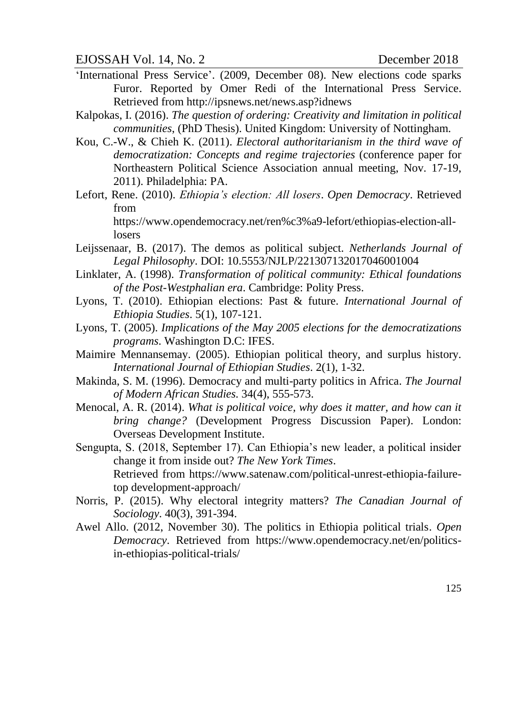- 'International Press Service'. (2009, December 08). New elections code sparks Furor. Reported by Omer Redi of the International Press Service. Retrieved fro[m http://ipsnews.net/news.asp?idnews](http://ipsnews.net/news.asp?idnews)
- Kalpokas, I. (2016). *The question of ordering: Creativity and limitation in political communities*, (PhD Thesis). United Kingdom: University of Nottingham.
- Kou, C.-W., & Chieh K. (2011). *Electoral authoritarianism in the third wave of democratization: Concepts and regime trajectories* (conference paper for Northeastern Political Science Association annual meeting, Nov. 17-19, 2011). Philadelphia: PA.
- Lefort, Rene. (2010). *Ethiopia's election: All losers*. *Open Democracy*. Retrieved from

 [https://www.opendemocracy.net/ren%c3%a9-lefort/ethiopias-election-all](https://www.opendemocracy.net/ren%c3%a9-lefort/ethiopias-election-all-losers)[losers](https://www.opendemocracy.net/ren%c3%a9-lefort/ethiopias-election-all-losers)

- Leijssenaar, B. (2017). The demos as political subject. *Netherlands Journal of Legal Philosophy*. DOI: [10.5553/NJLP/221307132017046001004](https://doi.org/10.5553/NJLP/221307132017046001004)
- Linklater, A. (1998). *Transformation of political community: Ethical foundations of the Post-Westphalian era*. Cambridge: Polity Press.
- Lyons, T. (2010). Ethiopian elections: Past & future. *International Journal of Ethiopia Studies*. 5(1), 107-121.
- Lyons, T. (2005). *Implications of the May 2005 elections for the democratizations programs*. Washington D.C: IFES.
- Maimire Mennansemay. (2005). Ethiopian political theory, and surplus history. *International Journal of Ethiopian Studies*. 2(1), 1-32.
- Makinda, S. M. (1996). Democracy and multi-party politics in Africa. *The Journal of Modern African Studies.* 34(4), 555-573.
- Menocal, A. R. (2014). *What is political voice, why does it matter, and how can it bring change?* (Development Progress Discussion Paper). London: Overseas Development Institute.
- Sengupta, S. (2018, September 17). Can Ethiopia's new leader, a political insider change it from inside out? *The New York Times*. Retrieved from [https://www.satenaw.com/political-unrest-ethiopia-failure](https://www.satenaw.com/political-unrest-ethiopia-failure-top%20development-approach/)[top development-approach/](https://www.satenaw.com/political-unrest-ethiopia-failure-top%20development-approach/)
- Norris, P. (2015). Why electoral integrity matters? *The Canadian Journal of Sociology*. 40(3), 391-394.
- Awel Allo. (2012, November 30). The politics in Ethiopia political trials. *Open Democracy*. Retrieved from [https://www.opendemocracy.net/en/politics](https://www.opendemocracy.net/en/politics-in-ethiopias-political-trials/)[in-ethiopias-political-trials/](https://www.opendemocracy.net/en/politics-in-ethiopias-political-trials/)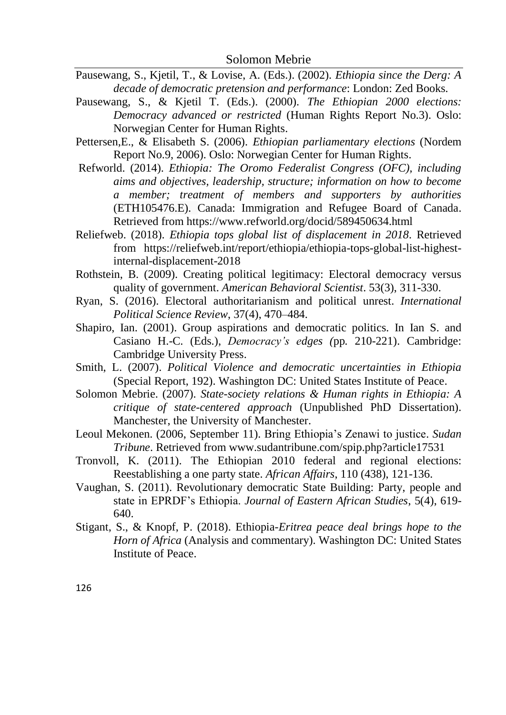- Pausewang, S., Kjetil, T., & Lovise, A. (Eds.). (2002). *Ethiopia since the Derg: A decade of democratic pretension and performance*: London: Zed Books.
- Pausewang, S., & Kjetil T. (Eds.). (2000). *The Ethiopian 2000 elections: Democracy advanced or restricted* (Human Rights Report No.3). Oslo: Norwegian Center for Human Rights.
- Pettersen,E., & Elisabeth S. (2006). *Ethiopian parliamentary elections* (Nordem Report No.9, 2006). Oslo: Norwegian Center for Human Rights.
- Refworld. (2014). *Ethiopia: The Oromo Federalist Congress (OFC), including aims and objectives, leadership, structure; information on how to become a member; treatment of members and supporters by authorities* (ETH105476.E). [Canada: Immigration and Refugee Board of Canada.](https://www.refworld.org/publisher/IRBC.html) Retrieved fro[m https://www.refworld.org/docid/589450634.html](https://www.refworld.org/docid/589450634.html)
- Reliefweb. (2018). *Ethiopia tops global list of displacement in 2018*. Retrieved from [https://reliefweb.int/report/ethiopia/ethiopia-tops-global-list-highest](https://reliefweb.int/report/ethiopia/ethiopia-tops-global-list-highest-internal-displacement-2018)[internal-displacement-2018](https://reliefweb.int/report/ethiopia/ethiopia-tops-global-list-highest-internal-displacement-2018)
- Rothstein, B. (2009). Creating political legitimacy: Electoral democracy versus quality of government. *American Behavioral Scientist*. 53(3), 311-330.
- Ryan, S. (2016). Electoral authoritarianism and political unrest. *International Political Science Review*, 37(4), 470–484.
- Shapiro, Ian. (2001). Group aspirations and democratic politics. In Ian S. and Casiano H.-C. (Eds.), *Democracy's edges (*pp*.* 210-221). Cambridge: Cambridge University Press.
- Smith, L. (2007). *Political Violence and democratic uncertainties in Ethiopia* (Special Report, 192). Washington DC: United States Institute of Peace.
- Solomon Mebrie. (2007). *State-society relations & Human rights in Ethiopia: A critique of state-centered approach* (Unpublished PhD Dissertation). Manchester, the University of Manchester.
- Leoul Mekonen. (2006, September 11). Bring Ethiopia's Zenawi to justice. *Sudan Tribune*. Retrieved from [www.sudantribune.com/spip.php?article17531](http://www.sudantribune.com/spip.php?article17531)
- Tronvoll, K. (2011). The Ethiopian 2010 federal and regional elections: Reestablishing a one party state. *African Affairs*, 110 (438), 121-136.
- Vaughan, S. (2011). Revolutionary democratic State Building: Party, people and state in EPRDF's Ethiopia. *Journal of Eastern African Studies*, 5(4), 619- 640.
- Stigant, S., & Knopf, P. (2018). Ethiopia*-Eritrea peace deal brings hope to the Horn of Africa* (Analysis and [commentary\)](https://www.usip.org/publications?publication_type%5B0%5D=12). Washington DC: United States Institute of Peace.